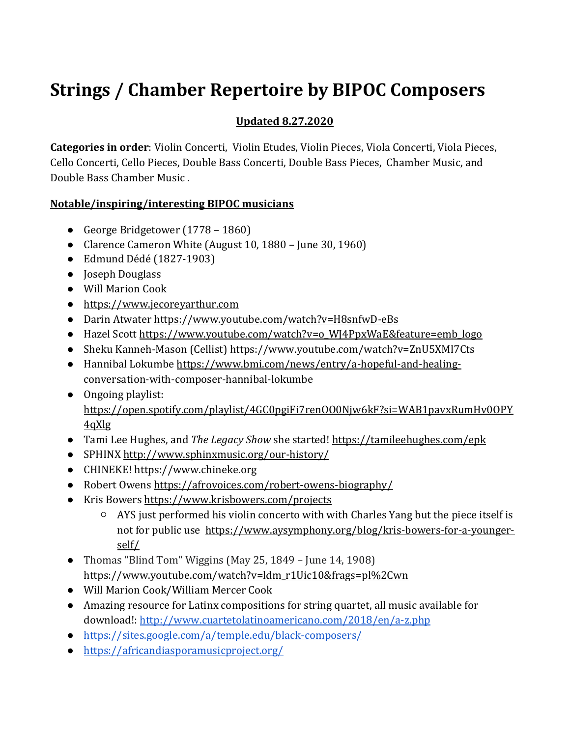# **Strings / Chamber Repertoire by BIPOC Composers**

# **Updated 8.27.2020**

**Categories in order**: Violin Concerti, Violin Etudes, Violin Pieces, Viola Concerti, Viola Pieces, Cello Concerti, Cello Pieces, Double Bass Concerti, Double Bass Pieces, Chamber Music, and Double Bass Chamber Music .

## **Notable/inspiring/interesting BIPOC musicians**

- George Bridgetower (1778 1860)
- Clarence Cameron White (August 10, 1880 June 30, 1960)
- Edmund Dédé (1827-1903)
- Joseph Douglass
- Will Marion Cook
- [https://www.jecoreyarthur.com](https://www.jecoreyarthur.com/)
- Darin Atwate[r https://www.youtube.com/watch?v=H8snfwD-eBs](https://www.youtube.com/watch?v=H8snfwD-eBs)
- Hazel Scot[t https://www.youtube.com/watch?v=o\\_WJ4PpxWaE&feature=emb\\_logo](https://www.youtube.com/watch?v=o_WJ4PpxWaE&feature=emb_logo)
- Sheku Kanneh-Mason (Cellist)<https://www.youtube.com/watch?v=ZnU5XMl7Cts>
- Hannibal Lokumbe [https://www.bmi.com/news/entry/a-hopeful-and-healing](https://www.bmi.com/news/entry/a-hopeful-and-healing-conversation-with-composer-hannibal-lokumbe)[conversation-with-composer-hannibal-lokumbe](https://www.bmi.com/news/entry/a-hopeful-and-healing-conversation-with-composer-hannibal-lokumbe)
- Ongoing playlist: [https://open.spotify.com/playlist/4GC0pgiFi7renOO0Njw6kF?si=WAB1pavxRumHv0OPY](https://open.spotify.com/playlist/4GC0pgiFi7renOO0Njw6kF?si=WAB1pavxRumHv0OPY4qXlg) [4qXlg](https://open.spotify.com/playlist/4GC0pgiFi7renOO0Njw6kF?si=WAB1pavxRumHv0OPY4qXlg)
- Tami Lee Hughes, and *The Legacy Show* she started[! https://tamileehughes.com/epk](https://tamileehughes.com/epk)
- SPHINX<http://www.sphinxmusic.org/our-history/>
- CHINEKE! https://www.chineke.org
- Robert Owens<https://afrovoices.com/robert-owens-biography/>
- Kris Bowers<https://www.krisbowers.com/projects>
	- AYS just performed his violin concerto with with Charles Yang but the piece itself is not for public use [https://www.aysymphony.org/blog/kris-bowers-for-a-younger](https://www.aysymphony.org/blog/kris-bowers-for-a-younger-self/)[self/](https://www.aysymphony.org/blog/kris-bowers-for-a-younger-self/)
- Thomas "Blind Tom" Wiggins (May 25, 1849 June 14, 1908) [https://www.youtube.com/watch?v=ldm\\_r1Uic10&frags=pl%2Cwn](https://www.youtube.com/watch?v=ldm_r1Uic10&frags=pl%2Cwn)
- Will Marion Cook/William Mercer Cook
- Amazing resource for Latinx compositions for string quartet, all music available for download!:<http://www.cuartetolatinoamericano.com/2018/en/a-z.php>
- <https://sites.google.com/a/temple.edu/black-composers/>
- <https://africandiasporamusicproject.org/>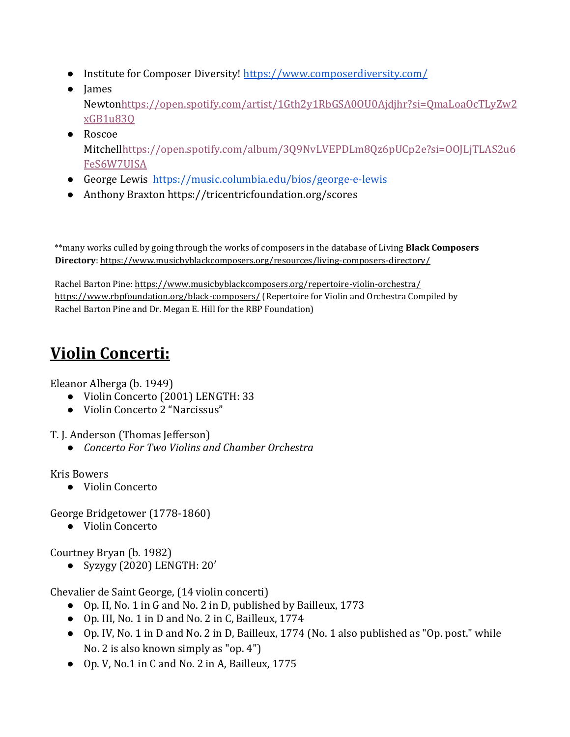- Institute for Composer Diversity!<https://www.composerdiversity.com/>
- James Newto[nhttps://open.spotify.com/artist/1Gth2y1RbGSA0OU0Ajdjhr?si=QmaLoaOcTLyZw2](https://open.spotify.com/artist/1Gth2y1RbGSA0OU0Ajdjhr?si=QmaLoaOcTLyZw2xGB1u83Q) [xGB1u83Q](https://open.spotify.com/artist/1Gth2y1RbGSA0OU0Ajdjhr?si=QmaLoaOcTLyZw2xGB1u83Q)
- Roscoe Mitchel[lhttps://open.spotify.com/album/3Q9NvLVEPDLm8Qz6pUCp2e?si=OOJLjTLAS2u6](https://open.spotify.com/album/3Q9NvLVEPDLm8Qz6pUCp2e?si=OOJLjTLAS2u6FeS6W7UISA) [FeS6W7UISA](https://open.spotify.com/album/3Q9NvLVEPDLm8Qz6pUCp2e?si=OOJLjTLAS2u6FeS6W7UISA)
- George Lewis <https://music.columbia.edu/bios/george-e-lewis>
- Anthony Braxton https://tricentricfoundation.org/scores

\*\*many works culled by going through the works of composers in the database of Living **Black Composers Directory**:<https://www.musicbyblackcomposers.org/resources/living-composers-directory/>

Rachel Barton Pine:<https://www.musicbyblackcomposers.org/repertoire-violin-orchestra/> <https://www.rbpfoundation.org/black-composers/> (Repertoire for Violin and Orchestra Compiled by Rachel Barton Pine and Dr. Megan E. Hill for the RBP Foundation)

# **Violin Concerti:**

Eleanor Alberga (b. 1949)

- Violin Concerto (2001) LENGTH: 33
- Violin Concerto 2 "Narcissus"

T. J. Anderson (Thomas Jefferson)

● *Concerto For Two Violins and Chamber Orchestra*

Kris Bowers

● Violin Concerto

George Bridgetower (1778-1860)

● Violin Concerto

Courtney Bryan (b. 1982)

● Syzygy (2020) LENGTH: 20′

Chevalier de Saint George, (14 violin concerti)

- Op. II, No. 1 in G and No. 2 in D, published by Bailleux, 1773
- Op. III, No. 1 in D and No. 2 in C, Bailleux, 1774
- Op. IV, No. 1 in D and No. 2 in D, Bailleux, 1774 (No. 1 also published as "Op. post." while No. 2 is also known simply as "op. 4")
- Op. V, No.1 in C and No. 2 in A, Bailleux, 1775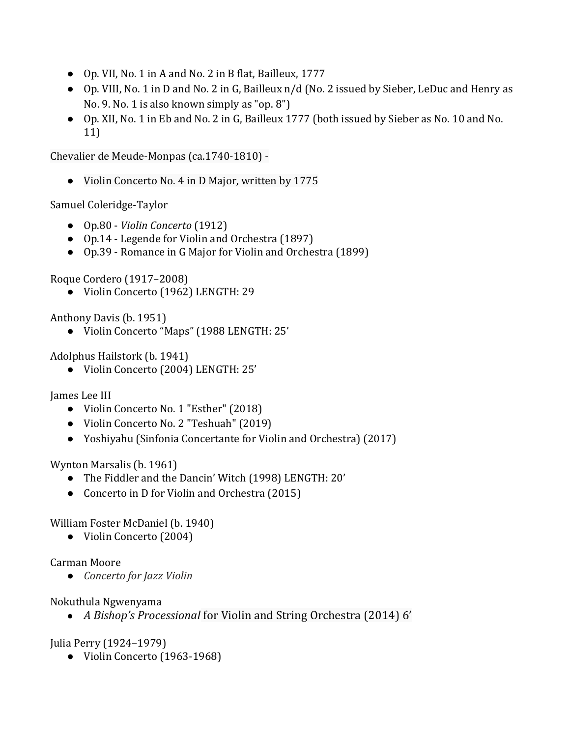- Op. VII, No. 1 in A and No. 2 in B flat, Bailleux, 1777
- Op. VIII, No. 1 in D and No. 2 in G, Bailleux n/d (No. 2 issued by Sieber, LeDuc and Henry as No. 9. No. 1 is also known simply as "op. 8")
- Op. XII, No. 1 in Eb and No. 2 in G, Bailleux 1777 (both issued by Sieber as No. 10 and No. 11)

Chevalier de Meude-Monpas (ca.1740-1810) -

● Violin Concerto No. 4 in D Major, written by 1775

Samuel Coleridge-Taylor

- Op.80 *[Violin Concerto](https://imslp.org/wiki/Violin_Concerto,_Op.80_(Coleridge-Taylor,_Samuel))* (1912)
- Op.14 Legende for Violin and Orchestra (1897)
- Op.39 [Romance in G Major for Violin and Orchestra](https://imslp.org/wiki/Romance_for_Violin,_Op.39_(Coleridge-Taylor,_Samuel)) (1899)

Roque Cordero (1917–2008)

● Violin Concerto (1962) LENGTH: 29

Anthony Davis (b. 1951)

● Violin Concerto "Maps" (1988 LENGTH: 25'

Adolphus Hailstork (b. 1941)

● Violin Concerto (2004) LENGTH: 25'

James Lee III

- Violin Concerto No. 1 "Esther" (2018)
- Violin Concerto No. 2 "Teshuah" (2019)
- Yoshiyahu (Sinfonia Concertante for Violin and Orchestra) (2017)

Wynton Marsalis (b. 1961)

- The Fiddler and the Dancin' Witch (1998) LENGTH: 20'
- Concerto in D for Violin and Orchestra (2015)

William Foster McDaniel (b. 1940)

● Violin Concerto (2004)

Carman Moore

● *Concerto for Jazz Violin* 

Nokuthula Ngwenyama

● *A Bishop's Processional* for Violin and String Orchestra (2014) 6'

Julia Perry (1924–1979)

● Violin Concerto (1963-1968)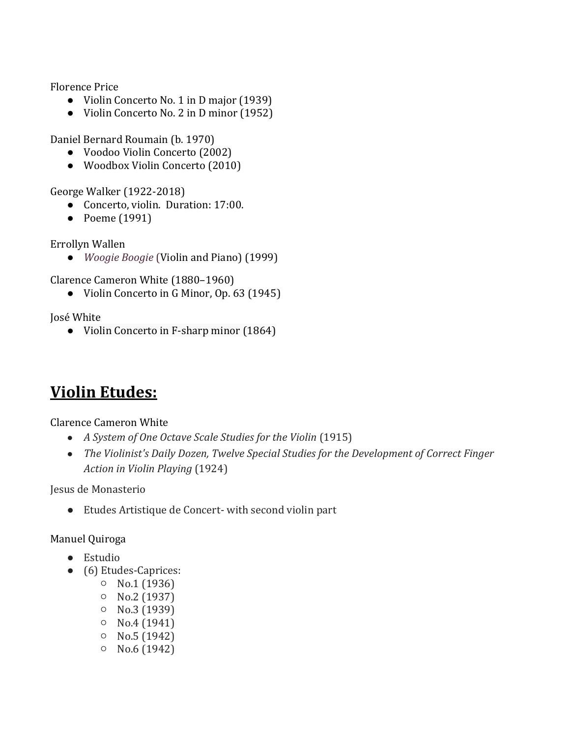Florence Price

- Violin Concerto No. 1 in D major (1939)
- Violin Concerto No. 2 in D minor (1952)

Daniel Bernard Roumain (b. 1970)

- Voodoo Violin Concerto (2002)
- Woodbox Violin Concerto (2010)

George Walker (1922-2018)

- Concerto, violin. Duration: 17:00.
- Poeme (1991)

Errollyn Wallen

● *Woogie Boogie* (Violin and Piano) (1999)

Clarence Cameron White (1880–1960)

● Violin Concerto in G Minor, Op. 63 (1945)

José White

● Violin Concerto in F-sharp minor (1864)

# **Violin Etudes:**

Clarence Cameron White

- *A System of One Octave Scale Studies for the Violin* (1915)
- *The Violinist's Daily Dozen, Twelve Special Studies for the Development of Correct Finger Action in Violin Playing* (1924)

Jesus de Monasterio

● Etudes Artistique de Concert- with second violin part

# Manuel Quiroga

- Estudio
- (6) Etudes-Caprices:
	- No.1 (1936)
	- No.2 (1937)
	- No.3 (1939)
	- No.4 (1941)
	- No.5 (1942)
	- $O$  No.6 (1942)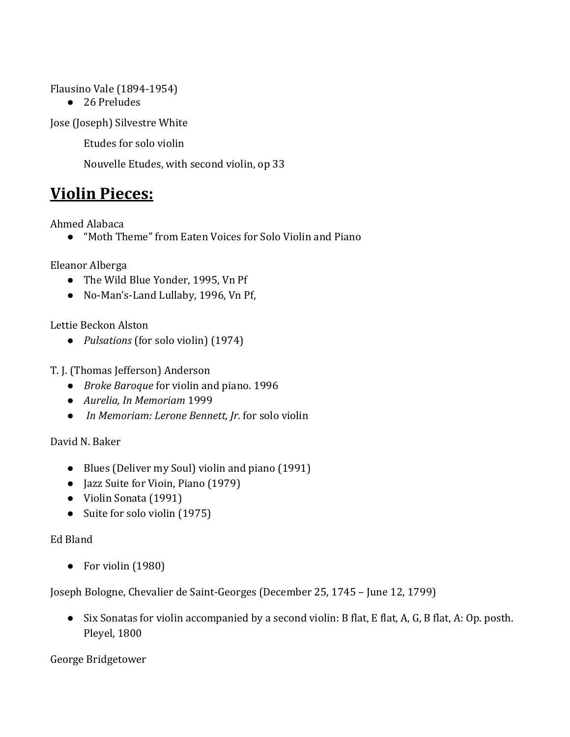Flausino Vale (1894-1954)

● 26 Preludes

Jose (Joseph) Silvestre White

Etudes for solo violin

Nouvelle Etudes, with second violin, op 33

# **Violin Pieces:**

Ahmed Alabaca

● "[Moth Theme" from Eaten Voices for Solo Violin and Piano](https://soundcloud.com/ahmed-alabaca/eaten-voices-moth-theme-violinsolo)

Eleanor Alberga

- The Wild Blue Yonder, 1995, Vn P[f](https://eleanoralberga.com/?page_id=325)
- No-Man's-Land Lullaby, 1996, Vn Pf,

Lettie Beckon Alston

● *Pulsations* (for solo violin) (1974)

T. J. (Thomas Jefferson) Anderson

- *Broke Baroque* for violin and piano. 1996
- *Aurelia, In Memoriam* 1999
- *In Memoriam: Lerone Bennett, Jr.* for solo violin

David N. Baker

- Blues (Deliver my Soul) violin and piano (1991)
- Jazz Suite for Vioin, Piano (1979)
- Violin Sonata (1991)
- Suite for solo violin (1975)

#### Ed Bland

● For violin (1980)

Joseph Bologne, Chevalier de Saint-Georges (December 25, 1745 – June 12, 1799)

● Six Sonatas for violin accompanied by a second violin: B flat, E flat, A, G, B flat, A: Op. posth. Pleyel, 1800

George Bridgetower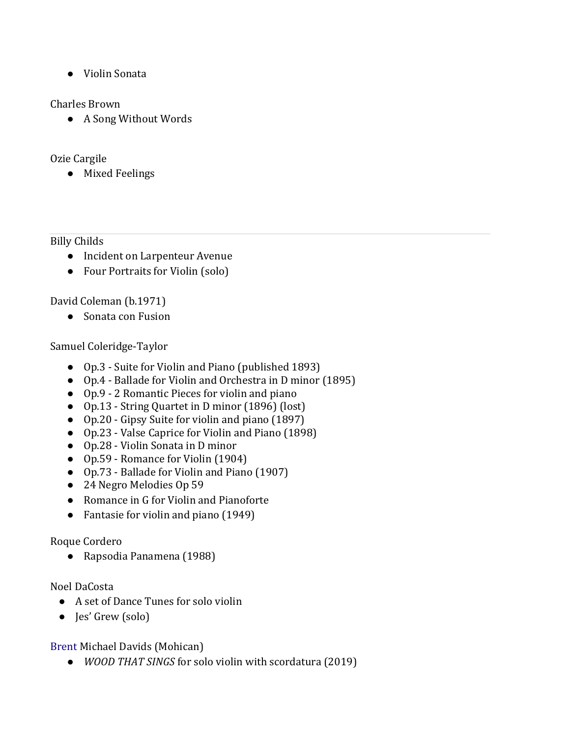● Violin Sonata

### Charles Brown

● A Song Without Words

## Ozie Cargile

● Mixed Feelings

### Billy Childs

- Incident on Larpenteur Avenue
- Four Portraits for Violin (solo)

David Coleman (b.1971)

● Sonata con Fusion

## Samuel Coleridge-Taylor

- Op.3 [Suite for Violin and Piano](https://imslp.org/wiki/Suite_for_Violin_and_Piano,_Op.3_(Coleridge-Taylor,_Samuel)) (published 1893)
- Op.4 [Ballade for Violin and Orchestra](https://imslp.org/wiki/Ballade_for_Violin_and_Orchestra,_Op.4_(Coleridge-Taylor,_Samuel)) in D minor (1895)
- Op.9 [2 Romantic Pieces](https://imslp.org/wiki/2_Romantic_Pieces,_Op.9_(Coleridge-Taylor,_Samuel)) for violin and piano
- Op.13 String Quartet in D minor (1896) (lost)
- Op.20 [Gipsy Suite](https://imslp.org/wiki/Gipsy_Suite,_Op.20_(Coleridge-Taylor,_Samuel)) for violin and piano (1897)
- Op.23 Valse Caprice for Violin and Piano (1898)
- Op.28 [Violin Sonata](https://imslp.org/wiki/Violin_Sonata,_Op.28_(Coleridge-Taylor,_Samuel)) in D minor
- Op.59 [Romance for Violin](https://imslp.org/wiki/Romance_for_Violin,_Op.39_(Coleridge-Taylor,_Samuel)) (1904)
- Op.73 [Ballade for Violin and Piano](https://imslp.org/wiki/Ballade,_Op.73_(Coleridge-Taylor,_Samuel)) (1907)
- 24 Negro Melodies Op 59
- Romance in G for Violin and Pianoforte
- Fantasie for violin and piano (1949)

### Roque Cordero

● Rapsodia Panamena (1988)

# Noel DaCosta

- A set of Dance Tunes for solo violin
- Jes' Grew (solo)

[Brent Michael Davids](https://en.wikipedia.org/wiki/Brent_Michael_Davids) (Mohican)

● *WOOD THAT SINGS* for solo violin with scordatura (2019)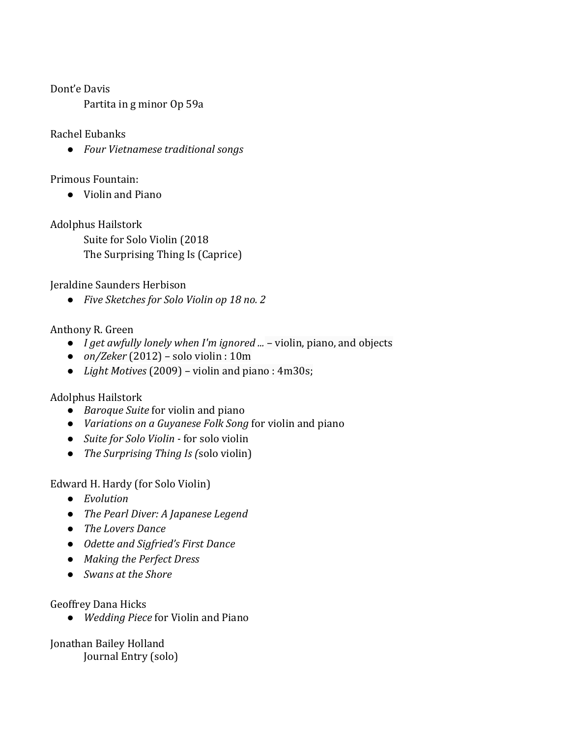Dont'e Davis

Partita in g minor Op 59a

#### Rachel Eubanks

● *Four Vietnamese traditional songs* 

Primous Fountain:

● Violin and Piano

Adolphus Hailstork

Suite for Solo Violin (2018 The Surprising Thing Is (Caprice)

Jeraldine Saunders Herbison

● *Five Sketches for Solo Violin op 18 no. 2*

### Anthony R. Green

- *I get awfully lonely when I'm ignored ...* violin, piano, and objects
- *on/Zeker* (2012) solo violin : 10m
- *Light Motives* (2009) violin and piano : 4m30s;

### Adolphus Hailstork

- *Baroque Suite* for violin and piano
- *Variations on a Guyanese Folk Song* for violin and piano
- *Suite for Solo Violin -* for solo violin
- *The Surprising Thing Is (*solo violin)

Edward H. Hardy (for Solo Violin)

- *Evolution*
- *The Pearl Diver: A Japanese Legend*
- *The Lovers Dance*
- *Odette and Sigfried's First Dance*
- *Making the Perfect Dress*
- *Swans at the Shore*

Geoffrey Dana Hicks

● *Wedding Piece* for Violin and Piano

Jonathan Bailey Holland Journal Entry (solo)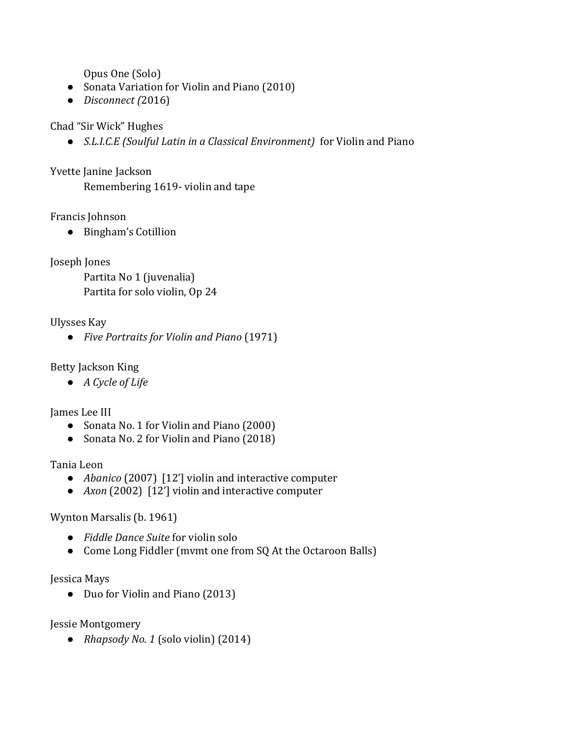Opus One (Solo)

- Sonata Variation for Violin and Piano (2010)
- *Disconnect (*2016)

## Chad "Sir Wick" Hughes

● *S.L.I.C.E (Soulful Latin in a Classical Environment)* for Violin and Piano

## Yvette Janine Jackson

Remembering 1619- violin and tape

## Francis Johnson

● Bingham's Cotillion

Joseph Jones

Partita No 1 (juvenalia) Partita for solo violin, Op 24

### Ulysses Kay

● *Five Portraits for Violin and Piano* (1971)

### Betty Jackson King

● *A Cycle of Life*

### James Lee III

- Sonata No. 1 for Violin and Piano (2000)
- Sonata No. 2 for Violin and Piano (2018)

### Tania Leon

- *Abanico* (2007) [12'] violin and interactive computer
- *Axon* (2002) [12'] violin and interactive computer

# Wynton Marsalis (b. 1961)

- *Fiddle Dance Suite* for violin solo
- Come Long Fiddler (mvmt one from SQ At the Octaroon Balls)

### Jessica Mays

● Duo for Violin and Piano (2013)

Jessie Montgomery

● *Rhapsody No. 1* (solo violin) (2014)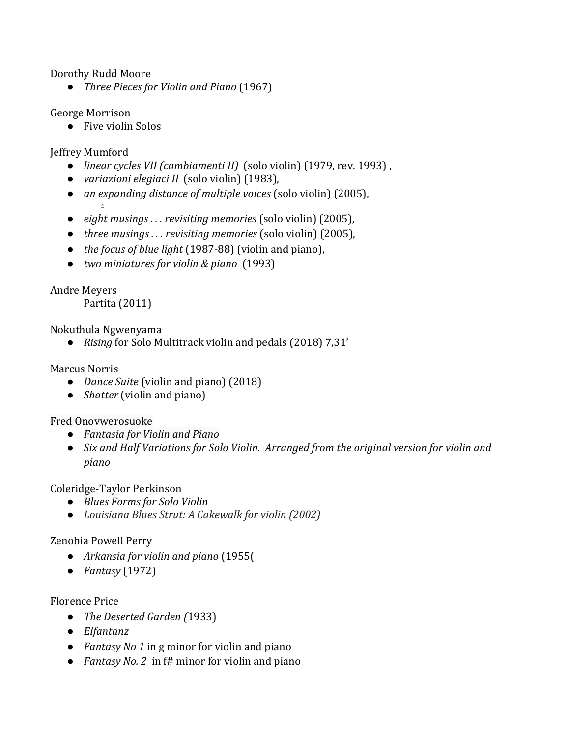Dorothy Rudd Moore

● *Three Pieces for Violin and Piano* (1967)

George Morrison

● Five violin Solos

Jeffrey Mumford

- *linear cycles VII (cambiamenti II)* (solo violin) (1979, rev. 1993) ,
- *variazioni elegiaci II* (solo violin) (1983),
- *an expanding distance of multiple voices* (solo violin) (2005), ○
- *eight musings . . . revisiting memories* (solo violin) (2005),
- *three musings . . . revisiting memories* (solo violin) (2005),
- *the focus of blue light* (1987-88) (violin and piano),
- *two miniatures for violin & piano* (1993)

Andre Meyers

Partita (2011)

Nokuthula Ngwenyama

● *Rising* for Solo Multitrack violin and pedals (2018) 7,31'

Marcus Norris

- *Dance Suite* (violin and piano) (2018)
- *Shatter* (violin and piano)

Fred Onovwerosuoke

- *Fantasia for Violin and Piano*
- *Six and Half Variations for Solo Violin. Arranged from the original version for violin and piano*

Coleridge-Taylor Perkinson

- *Blues Forms for Solo Violin*
- *Louisiana Blues Strut: A Cakewalk for violin (2002)*

Zenobia Powell Perry

- *Arkansia for violin and piano* (1955(
- *Fantasy* (1972)

#### Florence Price

- *The Deserted Garden (*1933)
- *Elfantanz*
- *Fantasy No 1* in g minor for violin and piano
- *Fantasy No. 2* in f# minor for violin and piano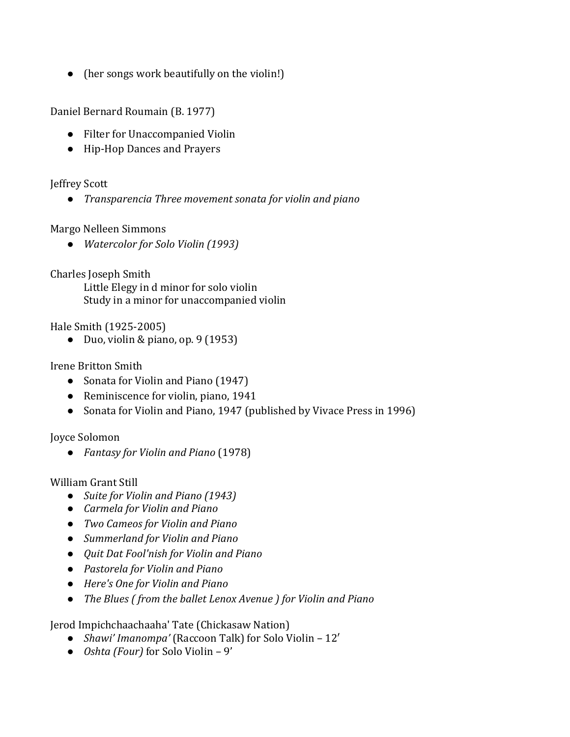● (her songs work beautifully on the violin!)

Daniel Bernard Roumain (B. 1977)

- Filter for Unaccompanied Violin
- Hip-Hop Dances and Prayers

#### Jeffrey Scott

● *Transparencia Three movement sonata for violin and piano*

#### Margo Nelleen Simmons

● *Watercolor for Solo Violin (1993)*

Charles Joseph Smith

Little Elegy in d minor for solo violin Study in a minor for unaccompanied violin

Hale Smith (1925-2005)

• Duo, violin & piano, op.  $9(1953)$ 

Irene Britton Smith

- Sonata for Violin and Piano (1947)
- Reminiscence for violin, piano, 1941
- Sonata for Violin and Piano, 1947 (published by Vivace Press in 1996)

Joyce Solomon

● *Fantasy for Violin and Piano* (1978)

William Grant Still

- *Suite for Violin and Piano (1943)*
- *Carmela for Violin and Piano*
- *Two Cameos for Violin and Piano*
- *Summerland for Violin and Piano*
- *Quit Dat Fool'nish for Violin and Piano*
- *Pastorela for Violin and Piano*
- *Here's One for Violin and Piano*
- *The Blues ( from the ballet Lenox Avenue ) for Violin and Piano*

[Jerod Impichchaachaaha' Tate](https://en.wikipedia.org/wiki/Jerod_Impichchaachaaha%27_Tate) (Chickasaw Nation)

- *Shawi' Imanompa'* (Raccoon Talk) for Solo Violin 12′
- *Oshta (Four)* for Solo Violin 9'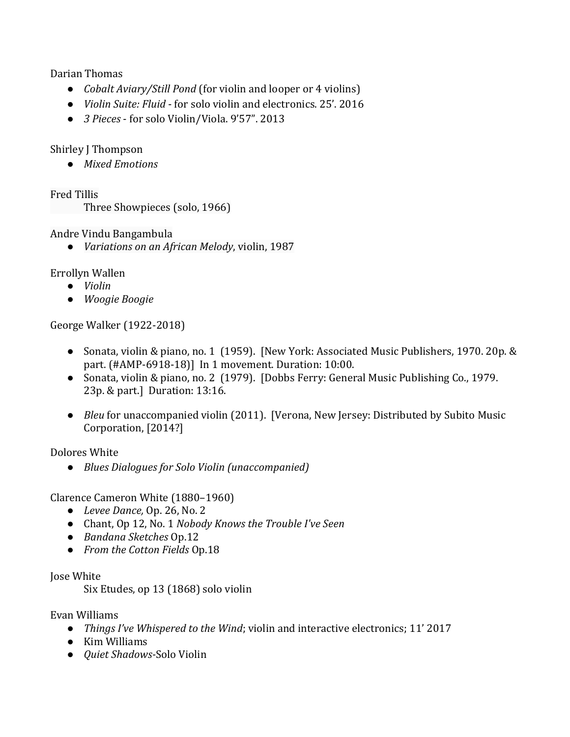#### Darian Thomas

- *Cobalt Aviary/Still Pond* (for violin and looper or 4 violins)
- *Violin [Suite:](https://soundcloud.com/ddt93/sets/fluid) Fluid*  for solo violin and electronics. 25'. 2016
- *3 Pieces*  for solo Violin/Viola. 9'57". 2013

### Shirley J Thompson

● *Mixed Emotions*

Fred Tillis

Three Showpieces (solo, 1966)

Andre Vindu Bangambula

● *Variations on an African Melody*, violin, 1987

### Errollyn Wallen

- *Violin*
- *Woogie Boogie*

George Walker (1922-2018)

- Sonata, violin & piano, no. 1 (1959). [New York: Associated Music Publishers, 1970. 20p. & part. (#AMP-6918-18)] In 1 movement. Duration: 10:00.
- Sonata, violin & piano, no. 2 (1979). [Dobbs Ferry: General Music Publishing Co., 1979. 23p. & part.] Duration: 13:16.
- *Bleu* for unaccompanied violin (2011). [Verona, New Jersey: Distributed by Subito Music Corporation, [2014?]

Dolores White

● *Blues Dialogues for Solo Violin (unaccompanied)*

Clarence Cameron White (1880–1960)

- *[Levee Dance,](https://www.youtube.com/watch?v=0rSvN8G_zgo)* [Op. 26, No. 2](https://www.youtube.com/watch?v=0rSvN8G_zgo)
- Chant, Op 12, No. 1 *Nobody Knows the Trouble I've Seen*
- *Bandana Sketches* Op.12
- *From the Cotton Fields* Op.18

#### Jose White

Six Etudes, op 13 (1868) solo violin

Evan Williams

- *Things I've Whispered to the Wind*; violin and interactive electronics; 11' 2017
- Kim Williams
- *Quiet Shadows-*Solo Violin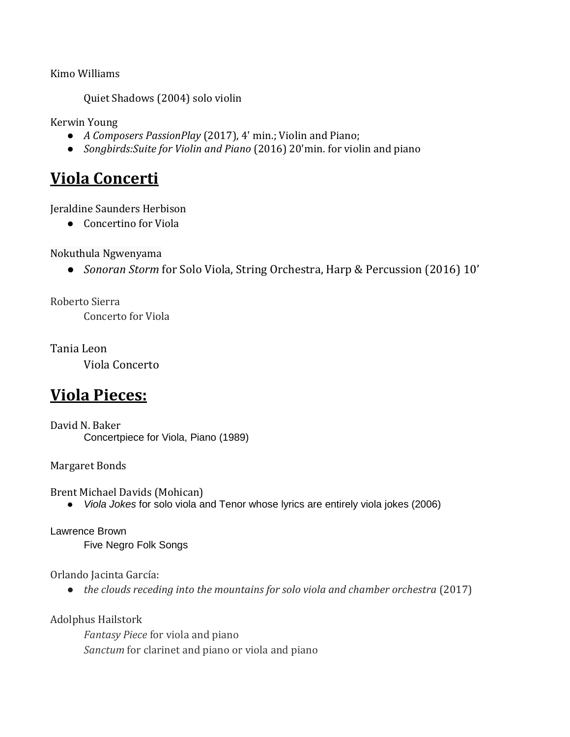Kimo Williams

Quiet Shadows (2004) solo violin

Kerwin Young

- *A Composers PassionPlay* (2017), 4' min.; Violin and Piano;
- *Songbirds:Suite for Violin and Piano* (2016) 20'min. for violin and piano

# **Viola Concerti**

Jeraldine Saunders Herbison

● Concertino for Viola

Nokuthula Ngwenyama

● *Sonoran Storm* for Solo Viola, String Orchestra, Harp & Percussion (2016) 10'

Roberto Sierra Concerto for Viola

Tania Leon

Viola Concerto

# **Viola Pieces:**

David N. Baker Concertpiece for Viola, Piano (1989)

Margaret Bonds

Brent Michael Davids (Mohican)

● *Viola Jokes* for solo viola and Tenor whose lyrics are entirely viola jokes (2006)

Lawrence Brown Five Negro Folk Songs

Orlando Jacinta García:

● *the clouds receding into the mountains for solo viola and chamber orchestra* (2017)

Adolphus Hailstork

*Fantasy Piece* for viola and piano *Sanctum* for clarinet and piano or viola and piano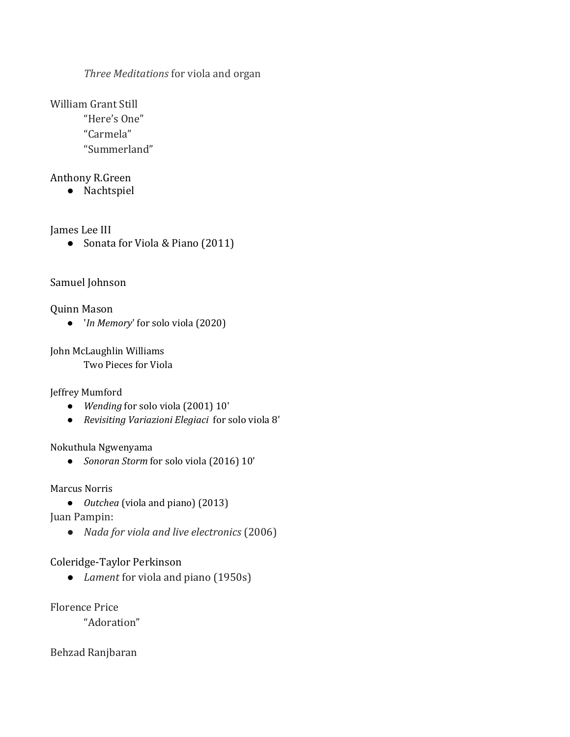*Three Meditations* for viola and organ

William Grant Still

"Here's One"

"Carmela"

"Summerland"

#### Anthony R.Green

● Nachtspiel

James Lee III

● Sonata for Viola & Piano (2011)

## Samuel Johnson

Quinn Mason

● '*In Memory*' for solo viola (2020)

John McLaughlin Williams

Two Pieces for Viola

Jeffrey Mumford

- *Wending* for solo viola (2001) 10'
- *Revisiting Variazioni Elegiaci* for solo viola 8'

Nokuthula Ngwenyama

● *Sonoran Storm* for solo viola (2016) 10'

Marcus Norris

● *Outchea* (viola and piano) (2013)

Juan Pampin:

● *Nada for viola and live electronics* (2006)

# Coleridge-Taylor Perkinson

● *Lament* for viola and piano (1950s)

Florence Price

"Adoration"

Behzad Ranjbaran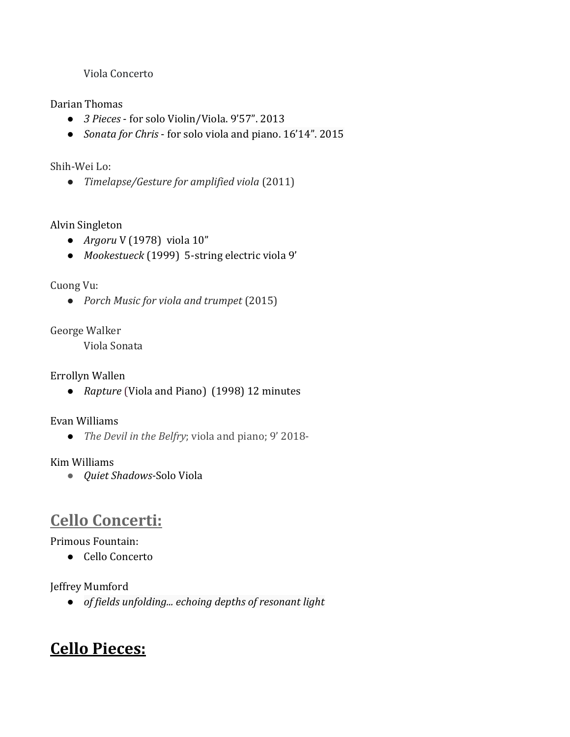Viola Concerto

#### Darian Thomas

- *3 Pieces*  for solo Violin/Viola. 9'57". 2013
- *[Sonata for Chris](https://soundcloud.com/ddt93/sets/sonata-for-chris)* for solo viola and piano. 16'14". 2015

#### Shih-Wei Lo:

● *Timelapse/Gesture for amplified viola* (2011)

### Alvin Singleton

- *Argoru* V (1978) viola 10"
- *Mookestueck* (1999) 5-string electric viola 9'

### Cuong Vu:

● *Porch Music for viola and trumpet* (2015)

### George Walker

Viola Sonata

### Errollyn Wallen

● *Rapture* (Viola and Piano) (1998) 12 minutes

#### Evan Williams

● *The Devil in the Belfry*; viola and piano; 9' 2018-

#### Kim Williams

● *Quiet Shadows-*Solo Viola

# **Cello Concerti:**

Primous Fountain:

● Cello Concerto

Jeffrey Mumford

● *of fields unfolding... echoing depths of resonant light*

# **Cello Pieces:**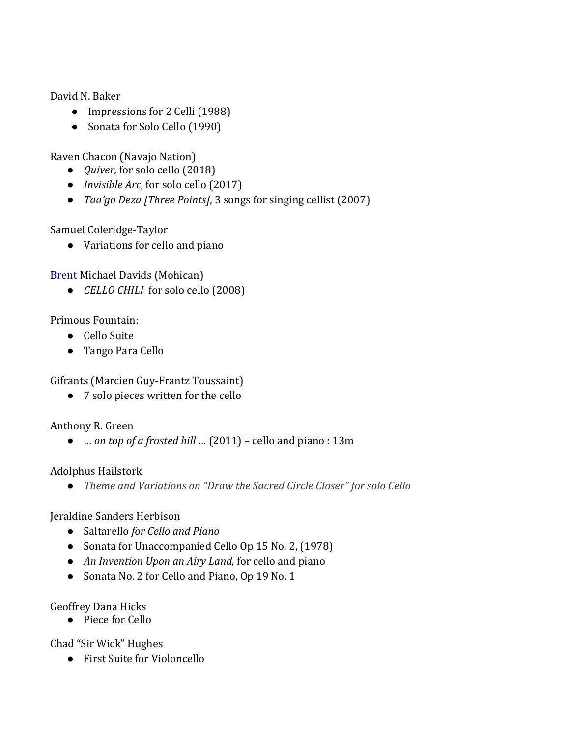David N. Baker

- Impressions for 2 Celli (1988)
- Sonata for Solo Cello (1990)

Raven Chacon (Navajo Nation)

- *[Quiver,](http://spiderwebsinthesky.com/wp-content/uploads/2018/11/Quiver_score.pdf)* for solo cello (2018)
- *[Invisible Arc,](http://spiderwebsinthesky.com/wp-content/uploads/2018/01/Raven-Chacon-Invisible-Arc-for-solo-cello.pdf)* for solo cello (2017)
- *[Taa'go Deza \[Three Points\]](http://spiderwebsinthesky.com/portfolio/items/taago-deza/)*, 3 songs for singing cellist (2007)

Samuel Coleridge-Taylor

● Variations for cello and piano

[Brent Michael Davids](https://en.wikipedia.org/wiki/Brent_Michael_Davids) (Mohican)

● *CELLO CHILI* for solo cello (2008)

## Primous Fountain:

- Cello Suite
- Tango Para Cello

Gifrants (Marcien Guy-Frantz Toussaint)

● 7 solo pieces written for the cello

# Anthony R. Green

● *… on top of a frosted hill …* (2011) – cello and piano : 13m

### Adolphus Hailstork

● *Theme and Variations on "Draw the Sacred Circle Closer" for solo Cello*

### Jeraldine Sanders Herbison

- Saltarello *for Cello and Piano*
- Sonata for Unaccompanied Cello Op 15 No. 2, (1978)
- *An Invention Upon an Airy Land,* for cello and piano
- Sonata No. 2 for Cello and Piano, Op 19 No. 1

### Geoffrey Dana Hicks

● Piece for Cello

Chad "Sir Wick" Hughes

● First Suite for Violoncello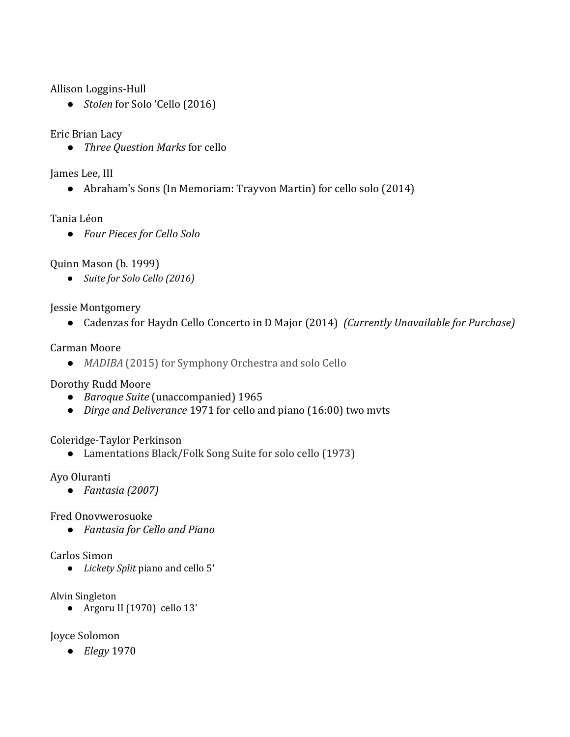Allison Loggins-Hull

● *Stolen* for Solo 'Cello (2016)

Eric Brian Lacy

● *Three Question Marks* for cello

James Lee, III

● Abraham's Sons (In Memoriam: Trayvon Martin) for cello solo (2014)

#### Tania Léon

● *Four Pieces for Cello Solo*

Quinn Mason (b. 1999)

● *Suite for Solo Cello (2016)*

Jessie Montgomery

● Cadenzas for Haydn Cello Concerto in D Major (2014) *(Currently Unavailable for Purchase)*

#### Carman Moore

● *MADIBA* (2015) for Symphony Orchestra and solo Cello

#### Dorothy Rudd Moore

- *Baroque Suite* (unaccompanied) 1965
- *Dirge and Deliverance* 1971 for cello and piano (16:00) two mvts

### Coleridge-Taylor Perkinson

● Lamentations Black/Folk Song Suite for solo cello (1973)

#### Ayo Oluranti

● *Fantasia (2007)*

#### Fred Onovwerosuoke

● *Fantasia for Cello and Piano*

#### Carlos Simon

● *[Lickety Split](http://coliversimon.com/small-ensemble/lickety-split-cello-and-piano)* piano and cello 5'

#### Alvin Singleton

● Argoru II (1970) cello 13'

#### Joyce Solomon

● *Elegy* 1970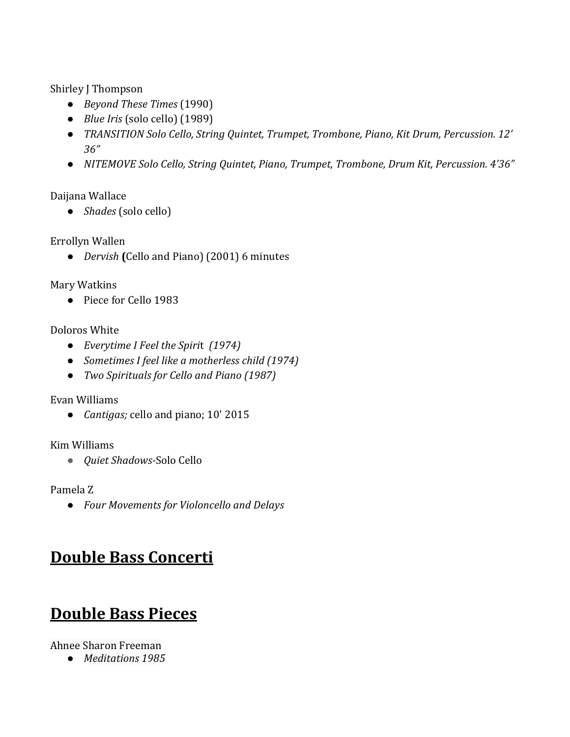Shirley J Thompson

- *Beyond These Times* (1990)
- *Blue Iris* (solo cello) (1989)
- *TRANSITION Solo Cello, String Quintet, Trumpet, Trombone, Piano, Kit Drum, Percussion. 12' 36"*
- *NITEMOVE Solo Cello, String Quintet, Piano, Trumpet, Trombone, Drum Kit, Percussion. 4'36"*

### Daijana Wallace

● *Shades* (solo cello)

## Errollyn Wallen

● *Dervish* **(**Cello and Piano) (2001) 6 minutes

## Mary Watkins

● Piece for Cello 1983

## Doloros White

- *Everytime I Feel the Spiri*t *(1974)*
- *Sometimes I feel like a motherless child (1974)*
- *Two Spirituals for Cello and Piano (1987)*

### Evan Williams

● *[Cantigas;](http://www.evanwilliamsmusic.info/cantigas.html)* [cello and piano; 10'](http://www.evanwilliamsmusic.info/cantigas.html) 2015

### Kim Williams

● *Quiet Shadows-*Solo Cello

Pamela Z

● *Four Movements for Violoncello and Delays* 

# **Double Bass Concerti**

# **Double Bass Pieces**

# Ahnee Sharon Freeman

● *Meditations* 1985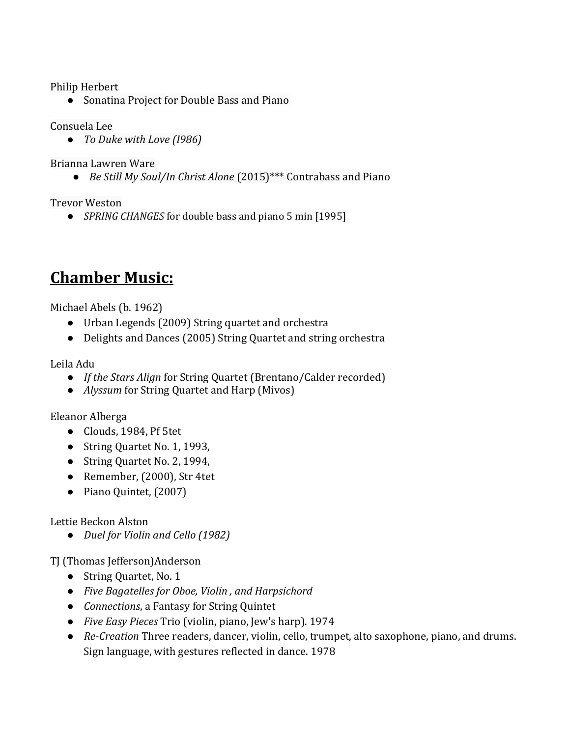Philip Herbert

● Sonatina Project for Double Bass and Piano

Consuela Lee

● *To Duke with Love (I986)*

Brianna Lawren Ware

● *Be Still My Soul/In Christ Alone* (2015)\*\*\* Contrabass and Piano

Trevor Weston

● *SPRING CHANGES* for double bass and piano 5 min [1995]

# **Chamber Music:**

Michael Abels (b. 1962)

- Urban Legends (2009) String quartet and orchestra
- Delights and Dances (2005) String Quartet and string orchestra

Leila Adu

- *If the Stars Align* for String Quartet (Brentano/Calder recorded)
- *Alyssum* for String Quartet and Harp (Mivos)

Eleanor Alberga

- Clouds, 1984, Pf 5tet
- String Quartet No. 1, 1993,
- String Quartet No. 2, 1994,
- Remember, (2000), Str 4tet
- Piano Quintet, (2007)

Lettie Beckon Alston

● *Duel for Violin and Cello (1982)*

TJ (Thomas Jefferson)Anderson

- String Quartet, No. 1
- *Five Bagatelles for Oboe, Violin , and Harpsichord*
- *Connections*, a Fantasy for String Quintet
- *Five Easy Pieces* Trio (violin, piano, Jew's harp). 1974
- *Re-Creation* Three readers, dancer, violin, cello, trumpet, alto saxophone, piano, and drums. Sign language, with gestures reflected in dance. 1978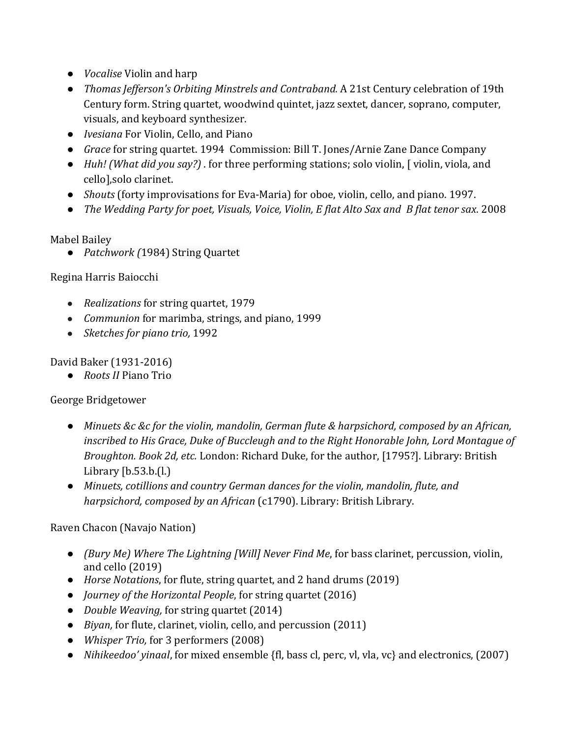- *Vocalise* Violin and harp
- *Thomas Jefferson's Orbiting Minstrels and Contraband.* A 21st Century celebration of 19th Century form. String quartet, woodwind quintet, jazz sextet, dancer, soprano, computer, visuals, and keyboard synthesizer.
- *Ivesiana* For Violin, Cello, and Piano
- *Grace* for string quartet. 1994 Commission: Bill T. Jones/Arnie Zane Dance Company
- *Huh! (What did you say?)* . for three performing stations; solo violin, [ violin, viola, and cello],solo clarinet.
- *Shouts* (forty improvisations for Eva-Maria) for oboe, violin, cello, and piano. 1997.
- *The Wedding Party for poet, Visuals, Voice, Violin, E flat Alto Sax and B flat tenor sax*. 2008

# Mabel Bailey

● *Patchwork (*1984) String Quartet

# Regina Harris Baiocchi

- *Realizations* for string quartet, 1979
- *Communion* for marimba, strings, and piano, 1999
- *Sketches for piano trio,* 1992

# David Baker (1931-2016)

● *Roots II* Piano Trio

# George Bridgetower

- *Minuets &c &c for the violin, mandolin, German flute & harpsichord, composed by an African, inscribed to His Grace, Duke of Buccleugh and to the Right Honorable John, Lord Montague of Broughton. Book 2d, etc.* London: Richard Duke, for the author, [1795?]. Library: British Library [b.53.b.(l.)
- *Minuets, cotillions and country German dances for the violin, mandolin, flute, and harpsichord, composed by an African* (c1790). Library: British Library.

# Raven Chacon (Navajo Nation)

- *(Bury Me) Where The Lightning [Will] Never Find Me*, for bass clarinet, percussion, violin, and cello (2019)
- *Horse Notations*, for flute, string quartet, and 2 hand drums (2019)
- *[Journey of the Horizontal People](http://kronosquartet.org/fifty-for-the-future/composers/raven-chacon)*, for string quartet (2016)
- *[Double Weaving,](http://spiderwebsinthesky.com/portfolio/items/double-weaving/)* for string quartet (2014)
- *[Biyan,](http://spiderwebsinthesky.com/portfolio/items/biyan/)* for flute, clarinet, violin, cello, and percussion (2011)
- *Whisper Trio,* for 3 performers (2008)
- *Nihikeedoo' yinaal*, for mixed ensemble {fl, bass cl, perc, vl, vla, vc} and electronics, (2007)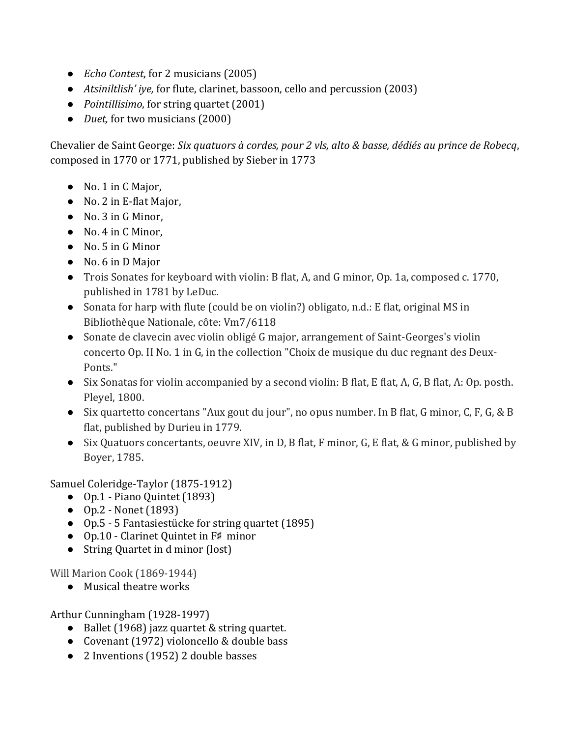- *[Echo Contest](http://spiderwebsinthesky.com/portfolio/items/echo-contest/)*, for 2 musicians (2005)
- *[Atsiniltlish' iye](http://spiderwebsinthesky.com/portfolio/items/atsiniltlish-iye-2/),* for flute, clarinet, bassoon, cello and percussion (2003)
- *Pointillisimo*, for string quartet (2001)
- *[Duet,](http://spiderwebsinthesky.com/portfolio/items/duet/)* for two musicians (2000)

Chevalier de Saint George: *Six quatuors à cordes, pour 2 vls, alto & basse, dédiés au prince de Robecq*, composed in 1770 or 1771, published by Sieber in 1773

- No. 1 in C Major,
- No. 2 in E-flat Major,
- No. 3 in G Minor,
- No. 4 in C Minor,
- No. 5 in G Minor
- No. 6 in D Major
- Trois Sonates for keyboard with violin: B flat, A, and G minor, Op. 1a, composed c. 1770, published in 1781 by LeDuc.
- Sonata for harp with flute (could be on violin?) obligato, n.d.: E flat, original MS in Bibliothèque Nationale, côte: Vm7/6118
- Sonate de clavecin avec violin obligé G major, arrangement of Saint-Georges's violin concerto Op. II No. 1 in G, in the collection "Choix de musique du duc regnant des Deux-Ponts."
- Six Sonatas for violin accompanied by a second violin: B flat, E flat, A, G, B flat, A: Op. posth. Pleyel, 1800.
- Six quartetto concertans "Aux gout du jour", no opus number. In B flat, G minor, C, F, G, & B flat, published by Durieu in 1779.
- Six Quatuors concertants, oeuvre XIV, in D, B flat, F minor, G, E flat, & G minor, published by Boyer, 1785.

Samuel Coleridge-Taylor (1875-1912)

- Op.1 Piano Quintet (1893)
- Op.2 Nonet (1893)
- Op.5 [5 Fantasiestücke](https://imslp.org/wiki/5_Fantasiest%C3%BCcke,_Op.5_(Coleridge-Taylor,_Samuel)) for string quartet (1895)
- Op.10 [Clarinet Quintet](https://imslp.org/wiki/Clarinet_Quintet,_Op.10_(Coleridge-Taylor,_Samuel)) in F♯ minor
- String Quartet in d minor (lost)

Will Marion Cook (1869-1944)

● Musical theatre works

Arthur Cunningham (1928-1997)

- Ballet (1968) jazz quartet & string quartet.
- Covenant (1972) violoncello & double bass
- 2 Inventions (1952) 2 double basses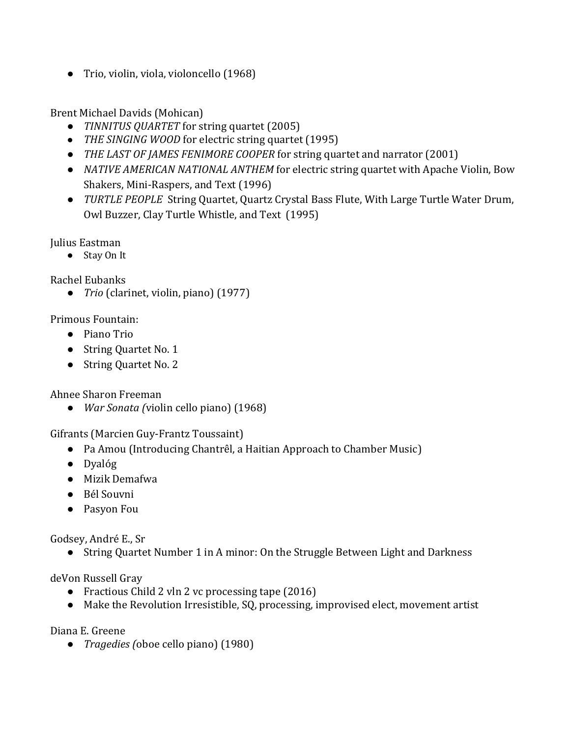● Trio, violin, viola, violoncello (1968)

Brent Michael Davids (Mohican)

- *TINNITUS QUARTET* for string quartet (2005)
- *THE SINGING WOOD* for electric string quartet (1995)
- *THE LAST OF JAMES FENIMORE COOPER* for string quartet and narrator (2001)
- *NATIVE AMERICAN NATIONAL ANTHEM* for electric string quartet with Apache Violin, Bow Shakers, Mini-Raspers, and Text (1996)
- *TURTLE PEOPLE* String Quartet, Quartz Crystal Bass Flute, With Large Turtle Water Drum, Owl Buzzer, Clay Turtle Whistle, and Text (1995)

Julius Eastman

● Stay On It

Rachel Eubanks

● *Trio* (clarinet, violin, piano) (1977)

Primous Fountain:

- Piano Trio
- String Quartet No. 1
- String Quartet No. 2

Ahnee Sharon Freeman

● *War Sonata (*violin cello piano) (1968)

Gifrants (Marcien Guy-Frantz Toussaint)

- Pa Amou (Introducing Chantrêl, a Haitian Approach to Chamber Music)
- Dyalóg
- Mizik Demafwa
- Bél Souvni
- Pasyon Fou

Godsey, André E., Sr

● String Quartet Number 1 in A minor: On the Struggle Between Light and Darkness

deVon Russell Gray

- Fractious Child 2 vln 2 vc processing tape (2016)
- Make the Revolution Irresistible, SQ, processing, improvised elect, movement artist

Diana E. Greene

● *Tragedies (*oboe cello piano) (1980)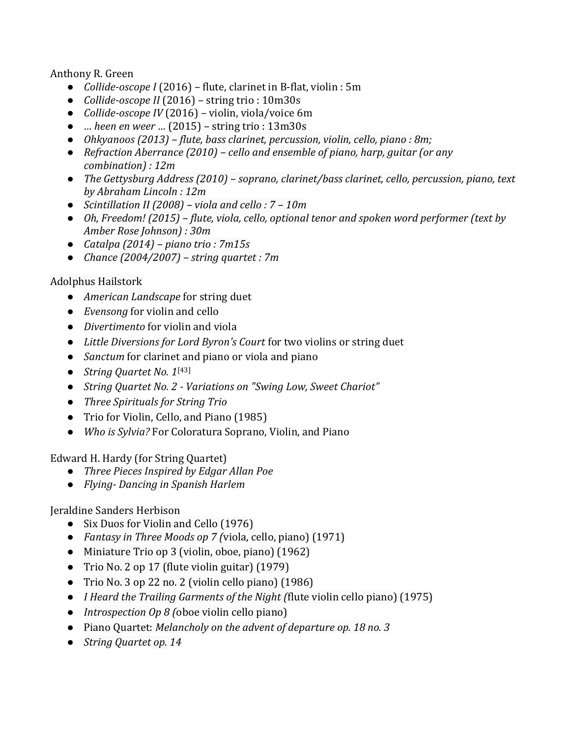#### Anthony R. Green

- *Collide-oscope I* (2016) flute, clarinet in B-flat, violin : 5m
- *Collide-oscope II* (2016) string trio : 10m30s
- *Collide-oscope IV* (2016) violin, viola/voice 6m
- *… heen en weer …* (2015) string trio : 13m30s
- *Ohkyanoos (2013) – flute, bass clarinet, percussion, violin, cello, piano : 8m;*
- *Refraction Aberrance (2010) – cello and ensemble of piano, harp, guitar (or any combination) : 12m*
- *The Gettysburg Address (2010) – soprano, clarinet/bass clarinet, cello, percussion, piano, text by Abraham Lincoln : 12m*
- *Scintillation II (2008) – viola and cello : 7 – 10m*
- *Oh, Freedom! (2015) – flute, viola, cello, optional tenor and spoken word performer (text by Amber Rose Johnson) : 30m*
- *Catalpa (2014) – piano trio : 7m15s*
- *Chance (2004/2007) – string quartet : 7m*

#### Adolphus Hailstork

- *American Landscape* for string duet
- *Evensong* for violin and cello
- *Divertimento* for violin and viola
- *Little Diversions for Lord Byron's Court* for two violins or string duet
- *Sanctum* for clarinet and piano or viola and piano
- *String Quartet No. 1*[\[43\]](https://en.wikipedia.org/wiki/Adolphus_Hailstork#cite_note-43)
- *String Quartet No. 2 - Variations on "Swing Low, Sweet Chariot"*
- *Three Spirituals for String Trio*
- Trio for Violin, Cello, and Piano (1985)
- *Who is Sylvia?* For Coloratura Soprano, Violin, and Piano

Edward H. Hardy (for String Quartet)

- *Three Pieces Inspired by Edgar Allan Poe*
- *Flying- Dancing in Spanish Harlem*

#### Jeraldine Sanders Herbison

- Six Duos for Violin and Cello (1976)
- *Fantasy in Three Moods op 7 (*viola, cello, piano) (1971)
- Miniature Trio op 3 (violin, oboe, piano) (1962)
- Trio No. 2 op 17 (flute violin guitar) (1979)
- Trio No. 3 op 22 no. 2 (violin cello piano) (1986)
- *I Heard the Trailing Garments of the Night (*flute violin cello piano) (1975)
- *Introspection Op 8 (*oboe violin cello piano)
- Piano Quartet: *Melancholy on the advent of departure op. 18 no. 3*
- *String Quartet op. 14*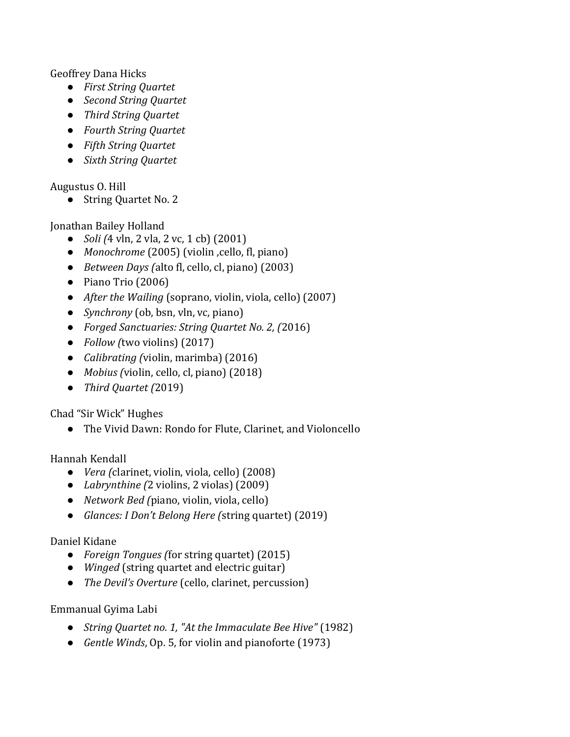Geoffrey Dana Hicks

- *First String Quartet*
- *Second String Quartet*
- *Third String Quartet*
- *Fourth String Quartet*
- *Fifth String Quartet*
- *Sixth String Quartet*

Augustus O. Hill

● String Quartet No. 2

Jonathan Bailey Holland

- *Soli (*4 vln, 2 vla, 2 vc, 1 cb) (2001)
- *Monochrome* (2005) (violin ,cello, fl, piano)
- *Between Days (*alto fl, cello, cl, piano) (2003)
- Piano Trio (2006)
- *After the Wailing* (soprano, violin, viola, cello) (2007)
- *Synchrony* (ob, bsn, vln, vc, piano)
- *Forged Sanctuaries: String Quartet No. 2, (*2016)
- *Follow (*two violins) (2017)
- *Calibrating (*violin, marimba) (2016)
- *Mobius (*violin, cello, cl, piano) (2018)
- *Third Quartet (*2019)

Chad "Sir Wick" Hughes

● The Vivid Dawn: Rondo for Flute, Clarinet, and Violoncello

Hannah Kendall

- *Vera (*clarinet, violin, viola, cello) (2008)
- *Labrynthine (*2 violins, 2 violas) (2009)
- *Network Bed (*piano, violin, viola, cello)
- *Glances: I Don't Belong Here (*string quartet) (2019)

### Daniel Kidane

- *Foreign Tongues (*for string quartet) (2015)
- *Winged* (string quartet and electric guitar)
- *The Devil's Overture* (cello, clarinet, percussion)

Emmanual Gyima Labi

- *String Quartet no. 1, "At the Immaculate Bee Hive"* (1982)
- *Gentle Winds*, Op. 5, for violin and pianoforte (1973)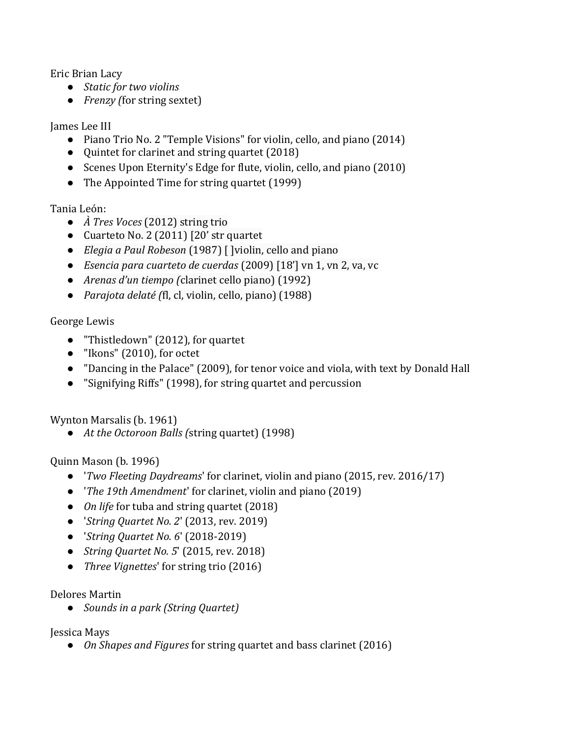Eric Brian Lacy

- *Static for two violins*
- *Frenzy (*for string sextet)

James Lee III

- Piano Trio No. 2 "Temple Visions" for violin, cello, and piano (2014)
- Quintet for clarinet and string quartet (2018)
- Scenes Upon Eternity's Edge for flute, violin, cello, and piano (2010)
- The Appointed Time for string quartet (1999)

Tania León:

- *À Tres Voces* (2012) string trio
- Cuarteto No. 2 (2011) [20' str quartet
- *Elegia a Paul Robeson* (1987) [ ]violin, cello and piano
- *Esencia para cuarteto de cuerdas* (2009) [18'] vn 1, vn 2, va, vc
- *Arenas d'un tiempo (*clarinet cello piano) (1992)
- *Parajota delaté (*fl, cl, violin, cello, piano) (1988)

### George Lewis

- "Thistledown" (2012), for quartet
- "Ikons" (2010), for octet
- "Dancing in the Palace" (2009), for tenor voice and viola, with text by Donald Hall
- "Signifying Riffs" (1998), for string quartet and percussion

Wynton Marsalis (b. 1961)

● *At the Octoroon Balls (*string quartet) (1998)

Quinn Mason (b. 1996)

- '*Two Fleeting Daydreams*' for clarinet, violin and piano (2015, rev. 2016/17)
- '*The 19th Amendment*' for clarinet, violin and piano (2019)
- *On life* for tuba and string quartet (2018)
- '*String Quartet No. 2*' (2013, rev. 2019)
- '*String Quartet No. 6*' (2018-2019)
- *String Quartet No. 5*' (2015, rev. 2018)
- *Three Vignettes*' for string trio (2016)

### Delores Martin

● *Sounds in a park (String Quartet)*

Jessica Mays

● *On Shapes and Figures* for string quartet and bass clarinet (2016)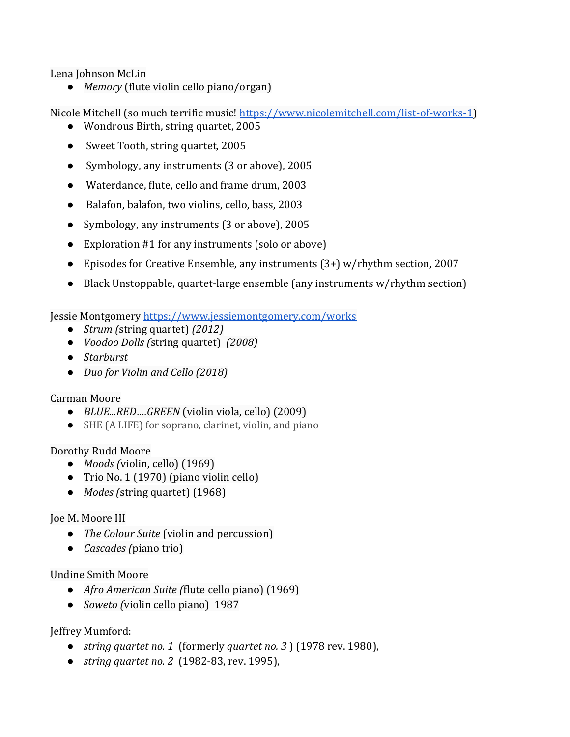Lena Johnson McLin

● *Memory* (flute violin cello piano/organ)

Nicole Mitchell (so much terrific music! [https://www.nicolemitchell.com/list-of-works-1\)](https://www.nicolemitchell.com/list-of-works-1)

- Wondrous Birth, string quartet, 2005
- Sweet Tooth, string quartet, 2005
- Symbology, any instruments (3 or above), 2005
- Waterdance, flute, cello and frame drum, 2003
- Balafon, balafon, two violins, cello, bass, 2003
- Symbology, any instruments (3 or above), 2005
- Exploration #1 for any instruments (solo or above)
- Episodes for Creative Ensemble, any instruments (3+) w/rhythm section, 2007
- Black Unstoppable, quartet-large ensemble (any instruments w/rhythm section)

Jessie Montgomery<https://www.jessiemontgomery.com/works>

- *Strum (*string quartet) *(2012)*
- *Voodoo Dolls (*string quartet) *(2008)*
- *Starburst*
- *Duo for Violin and Cello (2018)*

### Carman Moore

- *BLUE...RED….GREEN* (violin viola, cello) (2009)
- SHE (A LIFE) for soprano, clarinet, violin, and piano

Dorothy Rudd Moore

- *Moods (*violin, cello) (1969)
- Trio No. 1 (1970) (piano violin cello)
- *Modes (*string quartet) (1968)

### Joe M. Moore III

- *The Colour Suite* (violin and percussion)
- *Cascades (*piano trio)

#### Undine Smith Moore

- *Afro American Suite (*flute cello piano) (1969)
- *Soweto (*violin cello piano) 1987

Jeffrey Mumford:

- *string quartet no. 1* (formerly *quartet no. 3* ) (1978 rev. 1980),
- *string quartet no. 2* (1982-83, rev. 1995),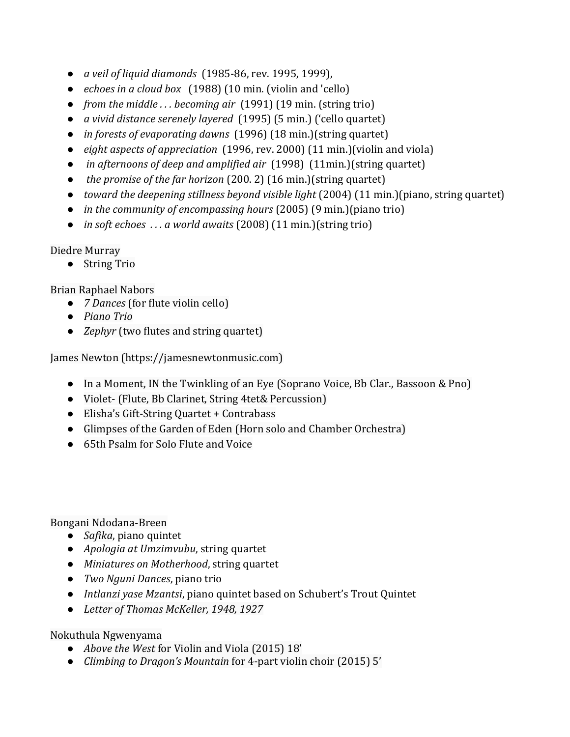- *a veil of liquid diamonds* (1985-86, rev. 1995, 1999),
- *echoes in a cloud box* (1988) (10 min. (violin and 'cello)
- *from the middle . . . becoming air* (1991) (19 min. (string trio)
- *a vivid distance serenely layered* (1995) (5 min.) ('cello quartet)
- *in forests of evaporating dawns* (1996) (18 min.)(string quartet)
- *eight aspects of appreciation* (1996, rev. 2000) (11 min.)(violin and viola)
- *in afternoons of deep and amplified air* (1998) (11min.)(string quartet)
- *the promise of the far horizon* (200. 2) (16 min.)(string quartet)
- *toward the deepening stillness beyond visible light* (2004) (11 min.)(piano, string quartet)
- *in the community of encompassing hours* (2005) (9 min.)(piano trio)
- *in soft echoes . . . a world awaits* (2008) (11 min.)(string trio)

Diedre Murray

● String Trio

Brian Raphael Nabors

- *7 Dances* (for flute violin cello)
- *Piano Trio*
- *Zephyr* (two flutes and string quartet)

James Newton (https://jamesnewtonmusic.com)

- In a Moment, IN the Twinkling of an Eye (Soprano Voice, Bb Clar., Bassoon & Pno)
- Violet- (Flute, Bb Clarinet, String 4tet& Percussion)
- Elisha's Gift-String Quartet + Contrabass
- Glimpses of the Garden of Eden (Horn solo and Chamber Orchestra)
- 65th Psalm for Solo Flute and Voice

Bongani Ndodana-Breen

- *Safika*, piano quintet
- *Apologia at Umzimvubu*, string quartet
- *Miniatures on Motherhood*, string quartet
- *Two Nguni Dances*, piano trio
- *Intlanzi yase Mzantsi*, piano quintet based on Schubert's Trout Quintet
- *Letter of Thomas McKeller, 1948, 1927*

Nokuthula Ngwenyama

- *Above the West* for Violin and Viola (2015) 18'
- *Climbing to Dragon's Mountain* for 4-part violin choir (2015) 5'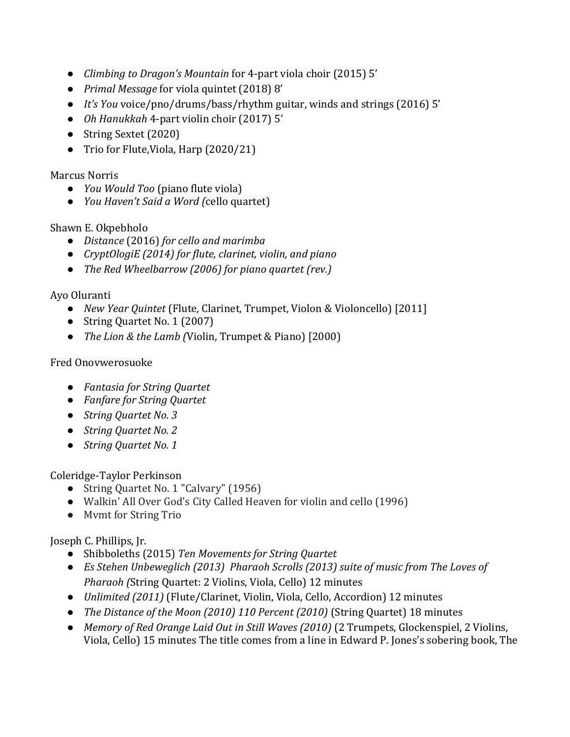- *Climbing to Dragon's Mountain* for 4-part viola choir (2015) 5'
- *Primal Message* for viola quintet (2018) 8'
- *It's You* voice/pno/drums/bass/rhythm guitar, winds and strings (2016) 5'
- *Oh Hanukkah* 4-part violin choir (2017) 5'
- String Sextet (2020)
- Trio for Flute, Viola, Harp (2020/21)

#### Marcus Norris

- *You Would Too* (piano flute viola)
- *You Haven't Said a Word (*cello quartet)

### Shawn E. Okpebholo

- *Distance* (2016) *for cello and marimba*
- *CryptOlogiE (2014) for flute, clarinet, violin, and piano*
- *The Red Wheelbarrow (2006) for piano quartet (rev.)*

Ayo Oluranti

- *New Year Quintet* (Flute, Clarinet, Trumpet, Violon & Violoncello) [2011]
- String Quartet No. 1 (2007)
- *The Lion & the Lamb (*Violin, Trumpet & Piano) [2000)

## Fred Onovwerosuoke

- *Fantasia for String Quartet*
- *Fanfare for String Quartet*
- *String Quartet No. 3*
- *String Quartet No. 2*
- *String Quartet No. 1*

Coleridge-Taylor Perkinson

- String Quartet No. 1 "Calvary" (1956)
- Walkin' All Over God's City Called Heaven for violin and cello (1996)
- Mvmt for String Trio

Joseph C. Phillips, Jr.

- Shibboleths (2015) *Ten Movements for String Quartet*
- *Es Stehen Unbeweglich (2013) Pharaoh Scrolls (2013) suite of music from [The Loves of](http://www.bam.org/film/2012/the-loves-of-pharaoh)  [Pharaoh](http://www.bam.org/film/2012/the-loves-of-pharaoh) (*String Quartet: 2 Violins, Viola, Cello) 12 minutes
- *Unlimited (2011)* (Flute/Clarinet, Violin, Viola, Cello, Accordion) 12 minutes
- *The Distance of the Moon (2010) 110 Percent (2010)* (String Quartet) 18 minutes
- *Memory of Red Orange Laid Out in Still Waves (2010)* (2 Trumpets, Glockenspiel, 2 Violins, Viola, Cello) 15 minutes The title comes from a line in Edward P. Jones's sobering book, The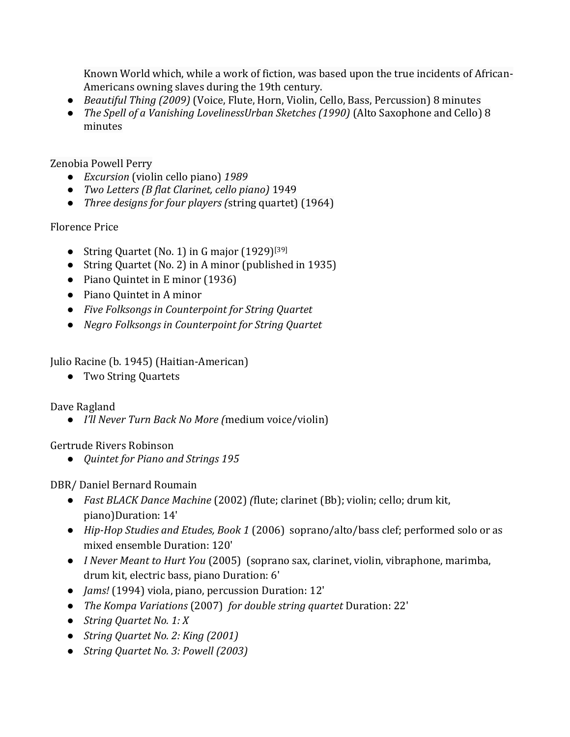Known World which, while a work of fiction, was based upon the true incidents of African-Americans owning slaves during the 19th century.

- *Beautiful Thing (2009)* (Voice, Flute, Horn, Violin, Cello, Bass, Percussion) 8 minutes
- *The Spell of a Vanishing LovelinessUrban Sketches (1990)* (Alto Saxophone and Cello) 8 minutes

Zenobia Powell Perry

- *Excursion* (violin cello piano) *1989*
- *Two Letters (B flat Clarinet, cello piano)* 1949
- *Three designs for four players (*string quartet) (1964)

## Florence Price

- String Quartet (No. 1) in G major (1929)<sup>[\[39\]](https://en.wikipedia.org/wiki/Florence_Price#cite_note-39)</sup>
- String Quartet (No. 2) in A minor (published in 1935)
- Piano Quintet in E minor (1936)
- Piano Quintet in A minor
- *Five Folksongs in Counterpoint for String Quartet*
- *Negro Folksongs in Counterpoint for String Quartet*

Julio Racine (b. 1945) (Haitian-American)

● Two String Quartets

Dave Ragland

● *I'll Never Turn Back No More (*medium voice/violin)

Gertrude Rivers Robinson

● *Quintet for Piano and Strings 195*

DBR/ Daniel Bernard Roumain

- *Fast BLACK Dance Machine* (2002) *(*flute; clarinet (Bb); violin; cello; drum kit, piano)Duration: 14'
- *Hip-Hop Studies and Etudes, Book 1* (2006) soprano/alto/bass clef; performed solo or as mixed ensemble Duration: 120'
- *I Never Meant to Hurt You* (2005) (soprano sax, clarinet, violin, vibraphone, marimba, drum kit, electric bass, piano Duration: 6'
- *Jams!* (1994) viola, piano, percussion Duration: 12'
- *The Kompa Variations* (2007) *for double string quartet* Duration: 22'
- *String Quartet No. 1: X*
- *String Quartet No. 2: King (2001)*
- *String Quartet No. 3: Powell (2003)*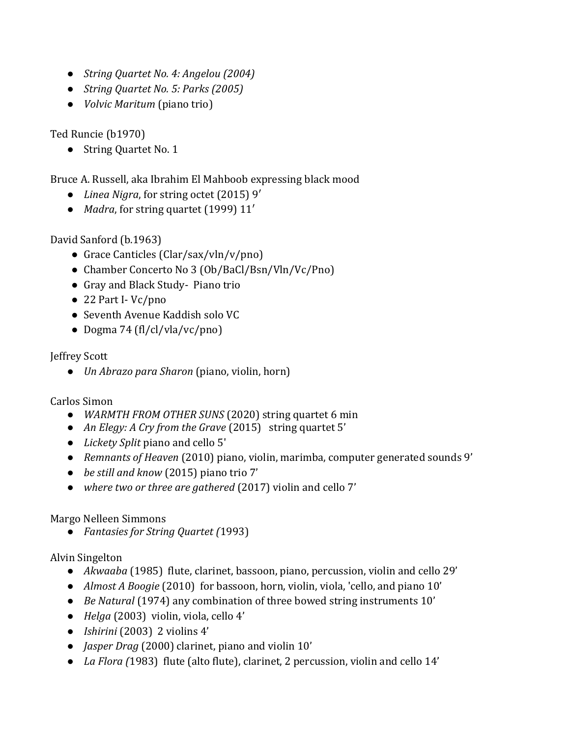- *String Quartet No. 4: Angelou (2004)*
- *String Quartet No. 5: Parks (2005)*
- *Volvic Maritum* (piano trio)

Ted Runcie (b1970)

● String Quartet No. 1

Bruce A. Russell, aka Ibrahim El Mahboob expressing black mood

- *[Linea Nigra](https://elmahboob.wordpress.com/2016/07/08/linea-nigra-for-string-octet/)*, for string octet (2015) 9′
- *[Madra](https://elmahboob.wordpress.com/2012/04/06/madra-for-string-quartet/)*, for string quartet (1999) 11′

David Sanford (b.1963)

- Grace Canticles (Clar/sax/vln/v/pno)
- Chamber Concerto No 3 (Ob/BaCl/Bsn/Vln/Vc/Pno)
- Gray and Black Study- Piano trio
- 22 Part I-Vc/pno
- Seventh Avenue Kaddish solo VC
- Dogma 74 (fl/cl/vla/vc/pno)

Jeffrey Scott

● *Un Abrazo para Sharon* (piano, violin, horn)

Carlos Simon

- *WARMTH FROM OTHER SUNS* (2020) string quartet 6 min
- *[An Elegy: A Cry from the Grave](https://soundcloud.com/simoncarlos1/an-elegy-a-cry-from-grave)* (2015) string quartet 5'
- *[Lickety Split](http://coliversimon.com/small-ensemble/lickety-split-cello-and-piano)* piano and cello 5'
- *Remnants of Heaven* (2010) piano, violin, marimba, computer generated sounds 9'
- *[be still and know](http://coliversimon.com/small-ensemble/be-still-and-know-piano-trio)* [\(2015\)](http://coliversimon.com/small-ensemble/be-still-and-know-piano-trio) piano trio 7'
- *[where two or three are gathered](http://coliversimon.com/small-ensemble/where-two-or-three-are-gathered)* [\(2017\)](http://coliversimon.com/small-ensemble/where-two-or-three-are-gathered) violin and cello 7'

Margo Nelleen Simmons

● *Fantasies for String Quartet (*1993)

Alvin Singelton

- *Akwaaba* (1985) flute, clarinet, bassoon, piano, percussion, violin and cello 29'
- *Almost A Boogie* (2010) for bassoon, horn, violin, viola, 'cello, and piano 10'
- *Be Natural* (1974) any combination of three bowed string instruments 10'
- *Helga* (2003) violin, viola, cello 4'
- *Ishirini* (2003) 2 violins 4'
- *Jasper Drag* (2000) clarinet, piano and violin 10'
- *La Flora (*1983) flute (alto flute), clarinet, 2 percussion, violin and cello 14'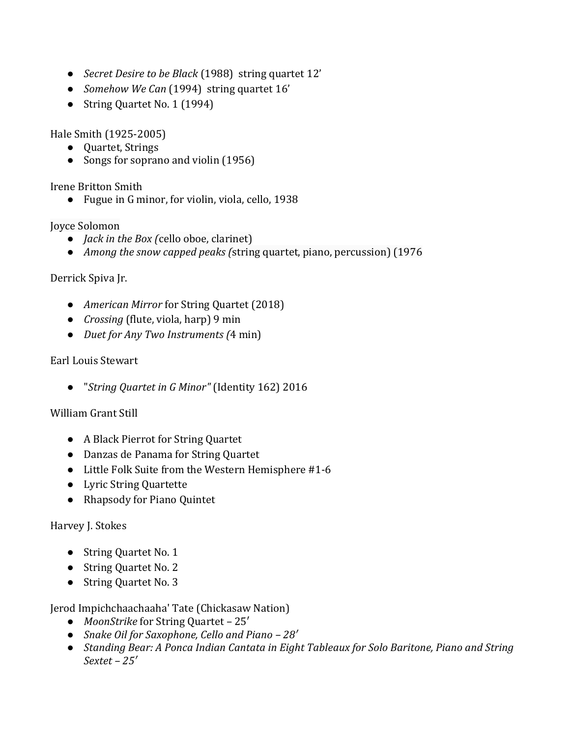- *Secret Desire to be Black* (1988) string quartet 12'
- *Somehow We Can* (1994) string quartet 16'
- String Quartet No. 1 (1994)

Hale Smith (1925-2005)

- Quartet, Strings
- Songs for soprano and violin (1956)

Irene Britton Smith

● Fugue in G minor, for violin, viola, cello, 1938

Joyce Solomon

- *Jack in the Box (*cello oboe, clarinet)
- *Among the snow capped peaks (*string quartet, piano, percussion) (1976

## Derrick Spiva Jr.

- *American Mirror* for String Quartet (2018)
- *Crossing* (flute, viola, harp) 9 min
- *Duet for Any Two Instruments (*4 min)

## Earl Louis Stewart

● "*String Quartet in G Minor"* (Identity 162) 2016

### William Grant Still

- A Black Pierrot for String Quartet
- Danzas de Panama for String Quartet
- Little Folk Suite from the Western Hemisphere #1-6
- Lyric String Quartette
- Rhapsody for Piano Quintet

### Harvey J. Stokes

- String Quartet No. 1
- String Quartet No. 2
- String Quartet No. 3

### [Jerod Impichchaachaaha' Tate](https://en.wikipedia.org/wiki/Jerod_Impichchaachaaha%27_Tate) (Chickasaw Nation)

- *MoonStrike* for String Quartet 25′
- *Snake Oil for Saxophone, Cello and Piano – 28′*
- *Standing Bear: A Ponca Indian Cantata in Eight Tableaux for Solo Baritone, Piano and String Sextet – 25′*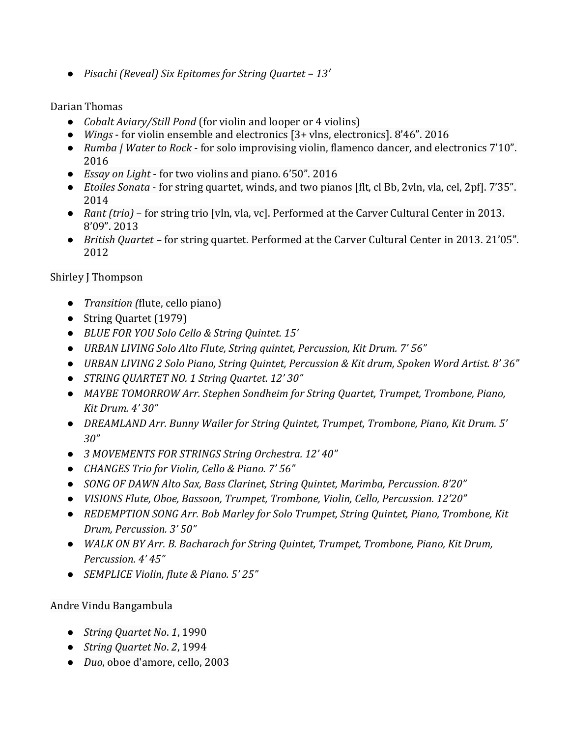● *Pisachi (Reveal) Six Epitomes for String Quartet – 13′*

#### Darian Thomas

- *Cobalt Aviary/Still Pond* (for violin and looper or 4 violins)
- *[Wings](https://soundcloud.com/ddt93/wings-live)* for violin ensemble and electronics [3+ vlns, electronics]. 8'46". 2016
- *[Rumba | Water to Rock](https://soundcloud.com/ddt93/rumba-water-to-rock)* for solo improvising violin, flamenco dancer, and electronics 7'10". 2016
- *Essay on Light* for two violins and piano. 6'50". 2016
- *[Etoiles Sonata](https://soundcloud.com/ddt93/etoiles-sonata)* for string quartet, winds, and two pianos [flt, cl Bb, 2vln, vla, cel, 2pf]. 7'35". 2014
- *Rant (trio)* for string trio [vln, vla, vc]. Performed at the Carver Cultural Center in 2013. 8'09". 2013
- *British Quartet* for string quartet. Performed at the Carver Cultural Center in 2013. 21'05". 2012

## Shirley J Thompson

- *Transition (*flute, cello piano)
- String Quartet (1979)
- *BLUE FOR YOU Solo Cello & String Quintet. 15'*
- *URBAN LIVING Solo Alto Flute, String quintet, Percussion, Kit Drum. 7' 56"*
- *URBAN LIVING 2 Solo Piano, String Quintet, Percussion & Kit drum, Spoken Word Artist. 8' 36"*
- *STRING QUARTET NO. 1 String Quartet. 12' 30"*
- *MAYBE TOMORROW Arr. Stephen Sondheim for String Quartet, Trumpet, Trombone, Piano, Kit Drum. 4' 30"*
- *DREAMLAND Arr. Bunny Wailer for String Quintet, Trumpet, Trombone, Piano, Kit Drum. 5' 30"*
- *3 MOVEMENTS FOR STRINGS String Orchestra. 12' 40"*
- *CHANGES Trio for Violin, Cello & Piano. 7' 56"*
- *SONG OF DAWN Alto Sax, Bass Clarinet, String Quintet, Marimba, Percussion. 8'20"*
- *VISIONS Flute, Oboe, Bassoon, Trumpet, Trombone, Violin, Cello, Percussion. 12'20"*
- *REDEMPTION SONG Arr. Bob Marley for Solo Trumpet, String Quintet, Piano, Trombone, Kit Drum, Percussion. 3' 50"*
- *WALK ON BY Arr. B. Bacharach for String Quintet, Trumpet, Trombone, Piano, Kit Drum, Percussion. 4' 45"*
- *SEMPLICE Violin, flute & Piano. 5' 25"*

### Andre Vindu Bangambula

- *String Quartet No*. *1*, 1990
- *String Quartet No*. *2*, 1994
- *Duo*, oboe d'amore, cello, 2003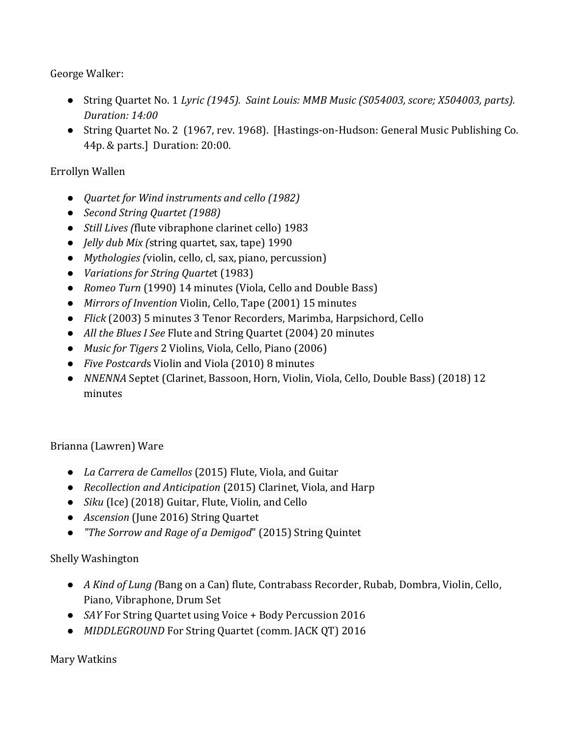George Walker:

- String Quartet No. 1 *Lyric (1945). Saint Louis: MMB Music (S054003, score; X504003, parts). Duration: 14:00*
- String Quartet No. 2 (1967, rev. 1968). [Hastings-on-Hudson: General Music Publishing Co. 44p. & parts.] Duration: 20:00.

## Errollyn Wallen

- *Quartet for Wind instruments and cello (1982)*
- *Second String Quartet (1988)*
- *Still Lives (*flute vibraphone clarinet cello) 1983
- *Jelly dub Mix (*string quartet, sax, tape) 1990
- *Mythologies (*violin, cello, cl, sax, piano, percussion)
- *Variations for String Quarte*t (1983)
- *Romeo Turn* (1990) 14 minutes (Viola, Cello and Double Bass)
- *Mirrors of Invention* Violin, Cello, Tape (2001) 15 minutes
- *Flick* (2003) 5 minutes 3 Tenor Recorders, Marimba, Harpsichord, Cello
- *All the Blues I See* Flute and String Quartet (2004) 20 minutes
- *Music for Tigers* 2 Violins, Viola, Cello, Piano (2006)
- *Five Postcard*s Violin and Viola (2010) 8 minutes
- *NNENNA* Septet (Clarinet, Bassoon, Horn, Violin, Viola, Cello, Double Bass) (2018) 12 minutes

# Brianna (Lawren) Ware

- *La Carrera de Camellos* (2015) Flute, Viola, and Guitar
- *Recollection and Anticipation* (2015) Clarinet, Viola, and Harp
- *Siku* (Ice) (2018) Guitar, Flute, Violin, and Cello
- *Ascension* (June 2016) String Quartet
- *"The Sorrow and Rage of a Demigod*" (2015) String Quintet

# Shelly Washington

- *A Kind of Lung (*Bang on a Can) flute, Contrabass Recorder, Rubab, Dombra, Violin, Cello, Piano, Vibraphone, Drum Set
- *SAY* For String Quartet using Voice + Body Percussion 2016
- *MIDDLEGROUND* For String Quartet (comm. JACK QT) 2016

Mary Watkins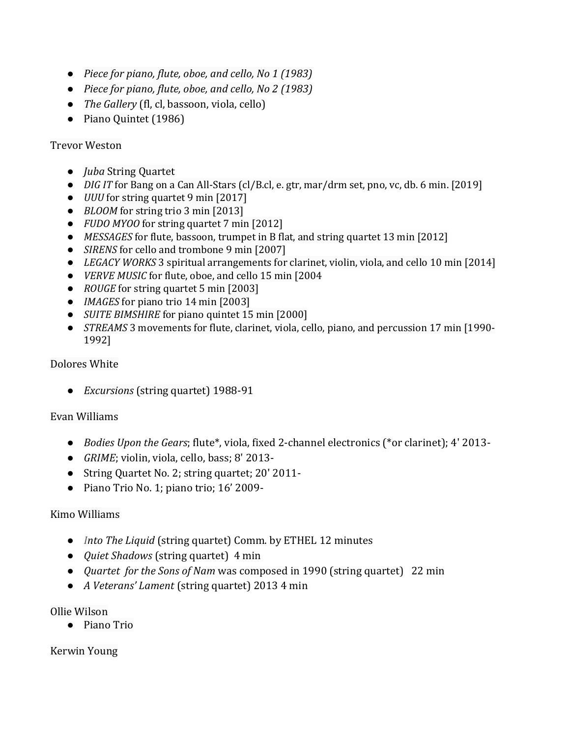- *Piece for piano, flute, oboe, and cello, No 1 (1983)*
- *Piece for piano, flute, oboe, and cello, No 2 (1983)*
- *The Gallery* (fl, cl, bassoon, viola, cello)
- Piano Quintet (1986)

#### Trevor Weston

- *Juba* String Quartet
- *DIG IT* for Bang on a Can All-Stars (cl/B.cl, e. gtr, mar/drm set, pno, vc, db. 6 min. [2019]
- *UUU* for string quartet 9 min [2017]
- *BLOOM* for string trio 3 min [2013]
- *FUDO MYOO* for string quartet 7 min [2012]
- *MESSAGES* for flute, bassoon, trumpet in B flat, and string quartet 13 min [2012]
- *SIRENS* for cello and trombone 9 min [2007]
- *LEGACY WORKS* 3 spiritual arrangements for clarinet, violin, viola, and cello 10 min [2014]
- *VERVE MUSIC* for flute, oboe, and cello 15 min [2004
- *ROUGE* for string quartet 5 min [2003]
- *IMAGES* for piano trio 14 min [2003]
- *SUITE BIMSHIRE* for piano quintet 15 min [2000]
- *STREAMS* 3 movements for flute, clarinet, viola, cello, piano, and percussion 17 min [1990- 1992]

#### Dolores White

● *Excursions* (string quartet) 1988-91

#### Evan Williams

- *[Bodies Upon the Gears](http://www.evanwilliamsmusic.info/bodies-upon-the-gears.html)*[; flute\\*, viola, fixed 2-channel electronics \(\\*or clarinet\); 4'](http://www.evanwilliamsmusic.info/bodies-upon-the-gears.html) 2013-
- *[GRIME](http://www.evanwilliamsmusic.info/grime.html)*[; violin, viola, cello, bass; 8'](http://www.evanwilliamsmusic.info/grime.html) 2013-
- [String Quartet No. 2; string quartet; 20'](http://www.evanwilliamsmusic.info/string-quartet-no-2.html) 2011-
- [Piano Trio No. 1; piano trio; 16'](http://www.evanwilliamsmusic.info/piano-trio-no-1.html) 2009-

#### Kimo Williams

- *Into The Liquid* (string quartet) Comm. by ETHEL 12 minutes
- *Quiet Shadows* (string quartet) 4 min
- *Quartet for the Sons of Nam* was composed in 1990 (string quartet) 22 min
- *A Veterans' Lament* (string quartet) 2013 4 min

#### Ollie Wilson

● Piano Trio

#### Kerwin Young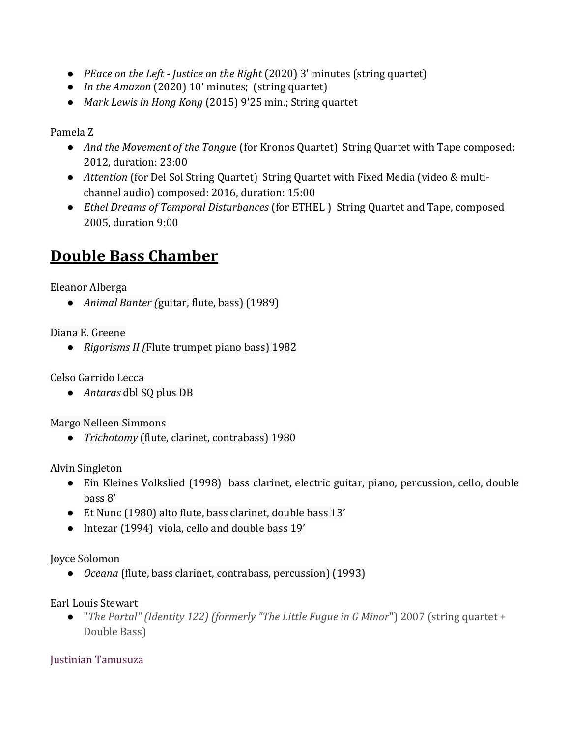- *PEace on the Left - Justice on the Right* (2020) 3' minutes (string quartet)
- *In the Amazon* (2020) 10' minutes; (string quartet)
- *Mark Lewis in Hong Kong* (2015) 9'25 min.; String quartet

Pamela Z

- *And the Movement of the Tongu*e (for Kronos Quartet) String Quartet with Tape composed: 2012, duration: 23:00
- *Attention* (for Del Sol String Quartet) String Quartet with Fixed Media (video & multichannel audio) composed: 2016, duration: 15:00
- *Ethel Dreams of Temporal Disturbances* (for ETHEL ) String Quartet and Tape, composed 2005, duration 9:00

# **Double Bass Chamber**

Eleanor Alberga

● *Animal Banter (*guitar, flute, bass) (1989)

Diana E. Greene

● *Rigorisms II (*Flute trumpet piano bass) 1982

Celso Garrido Lecca

● *Antaras* dbl SQ plus DB

Margo Nelleen Simmons

● *Trichotomy* (flute, clarinet, contrabass) 1980

Alvin Singleton

- Ein Kleines Volkslied (1998) bass clarinet, electric guitar, piano, percussion, cello, double bass 8'
- Et Nunc (1980) alto flute, bass clarinet, double bass 13'
- Intezar (1994) viola, cello and double bass 19'

Joyce Solomon

● *Oceana* (flute, bass clarinet, contrabass, percussion) (1993)

Earl Louis Stewart

● "*The Portal" (Identity 122) (formerly "The Little Fugue in G Minor*") 2007 (string quartet + Double Bass)

Justinian Tamusuza